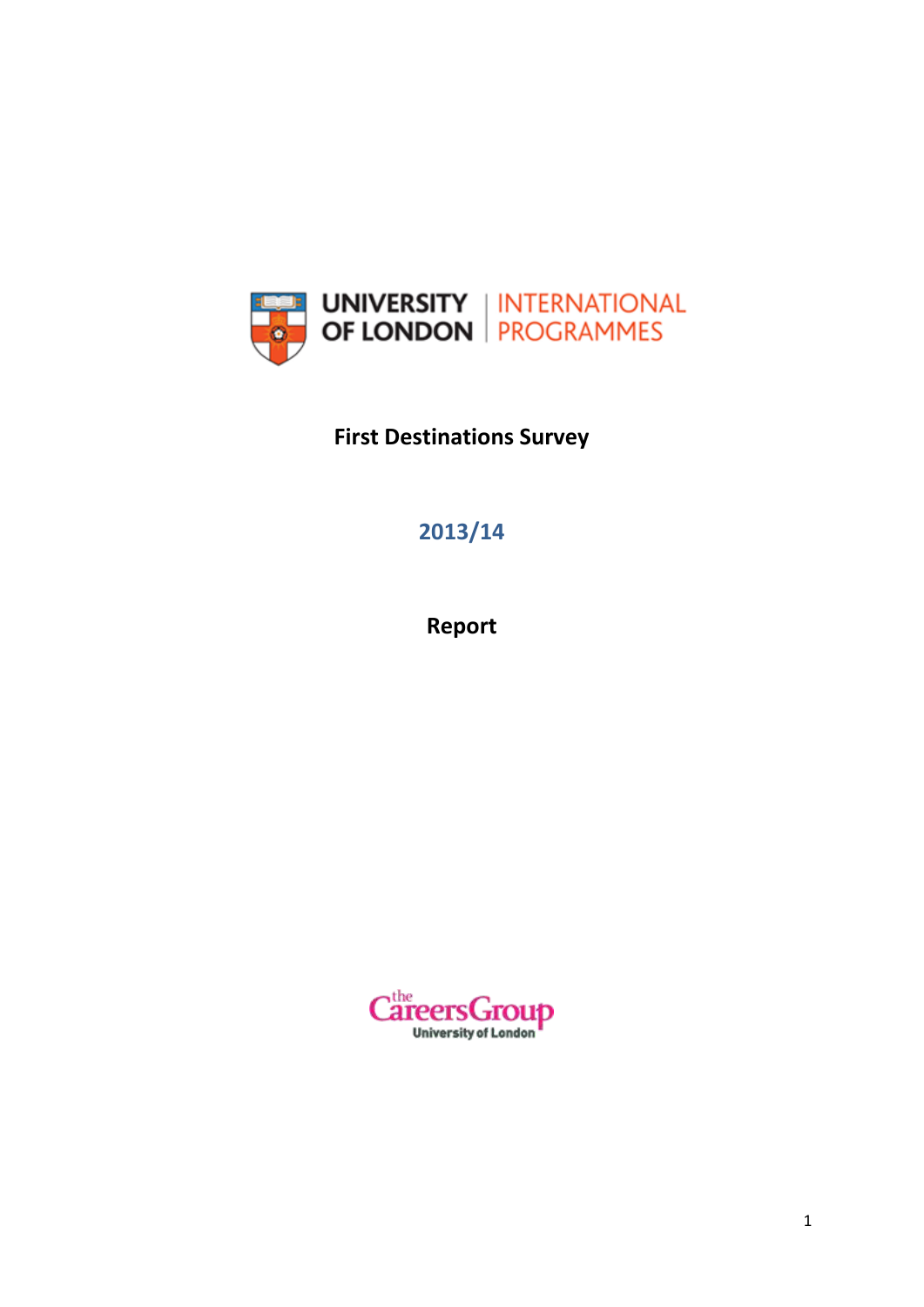

**First Destinations Survey**

# **2013/14**

**Report**

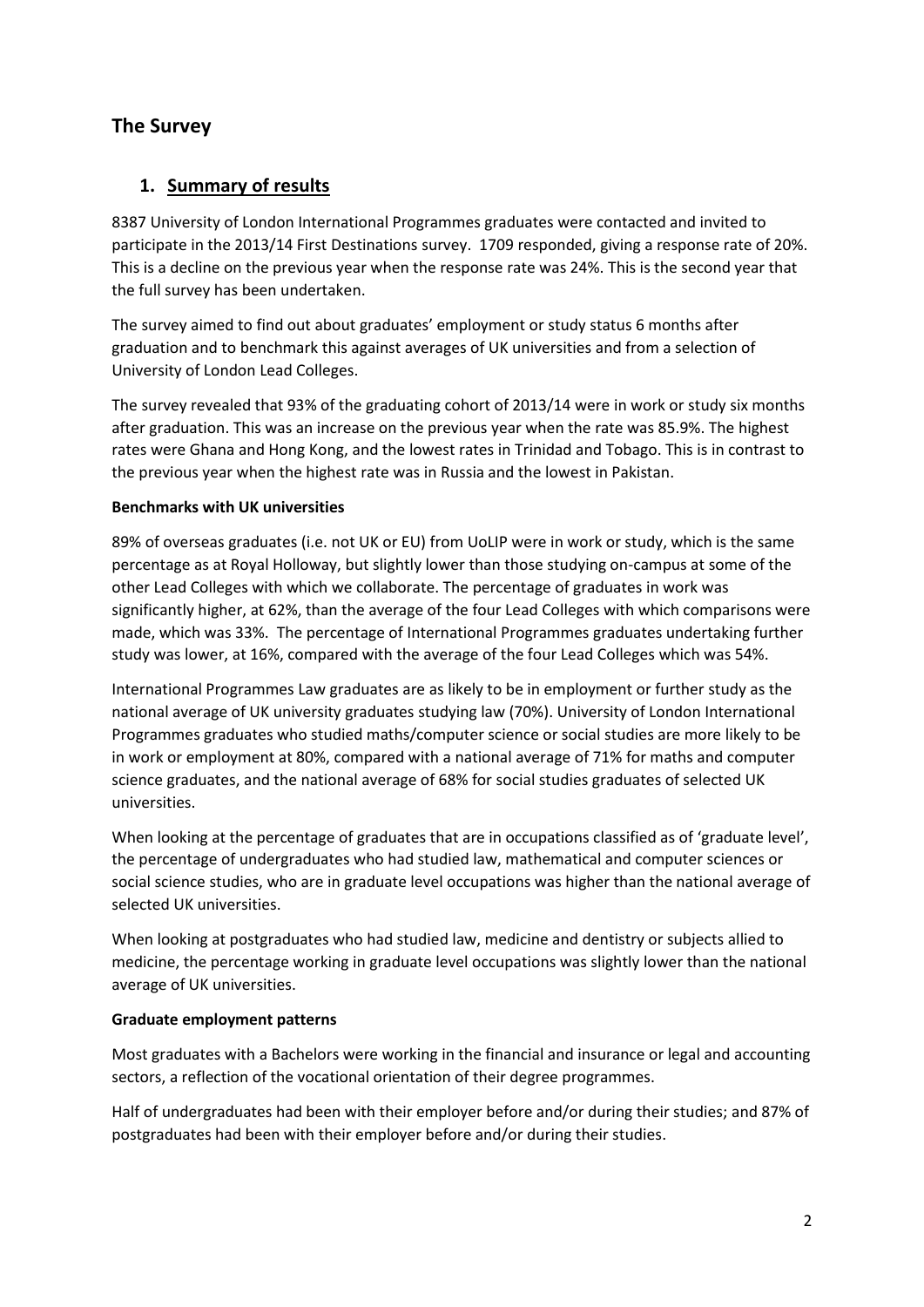## **The Survey**

### **1. Summary of results**

8387 University of London International Programmes graduates were contacted and invited to participate in the 2013/14 First Destinations survey. 1709 responded, giving a response rate of 20%. This is a decline on the previous year when the response rate was 24%. This is the second year that the full survey has been undertaken.

The survey aimed to find out about graduates' employment or study status 6 months after graduation and to benchmark this against averages of UK universities and from a selection of University of London Lead Colleges.

The survey revealed that 93% of the graduating cohort of 2013/14 were in work or study six months after graduation. This was an increase on the previous year when the rate was 85.9%. The highest rates were Ghana and Hong Kong, and the lowest rates in Trinidad and Tobago. This is in contrast to the previous year when the highest rate was in Russia and the lowest in Pakistan.

#### **Benchmarks with UK universities**

89% of overseas graduates (i.e. not UK or EU) from UoLIP were in work or study, which is the same percentage as at Royal Holloway, but slightly lower than those studying on-campus at some of the other Lead Colleges with which we collaborate. The percentage of graduates in work was significantly higher, at 62%, than the average of the four Lead Colleges with which comparisons were made, which was 33%. The percentage of International Programmes graduates undertaking further study was lower, at 16%, compared with the average of the four Lead Colleges which was 54%.

International Programmes Law graduates are as likely to be in employment or further study as the national average of UK university graduates studying law (70%). University of London International Programmes graduates who studied maths/computer science or social studies are more likely to be in work or employment at 80%, compared with a national average of 71% for maths and computer science graduates, and the national average of 68% for social studies graduates of selected UK universities.

When looking at the percentage of graduates that are in occupations classified as of 'graduate level', the percentage of undergraduates who had studied law, mathematical and computer sciences or social science studies, who are in graduate level occupations was higher than the national average of selected UK universities.

When looking at postgraduates who had studied law, medicine and dentistry or subjects allied to medicine, the percentage working in graduate level occupations was slightly lower than the national average of UK universities.

#### **Graduate employment patterns**

Most graduates with a Bachelors were working in the financial and insurance or legal and accounting sectors, a reflection of the vocational orientation of their degree programmes.

Half of undergraduates had been with their employer before and/or during their studies; and 87% of postgraduates had been with their employer before and/or during their studies.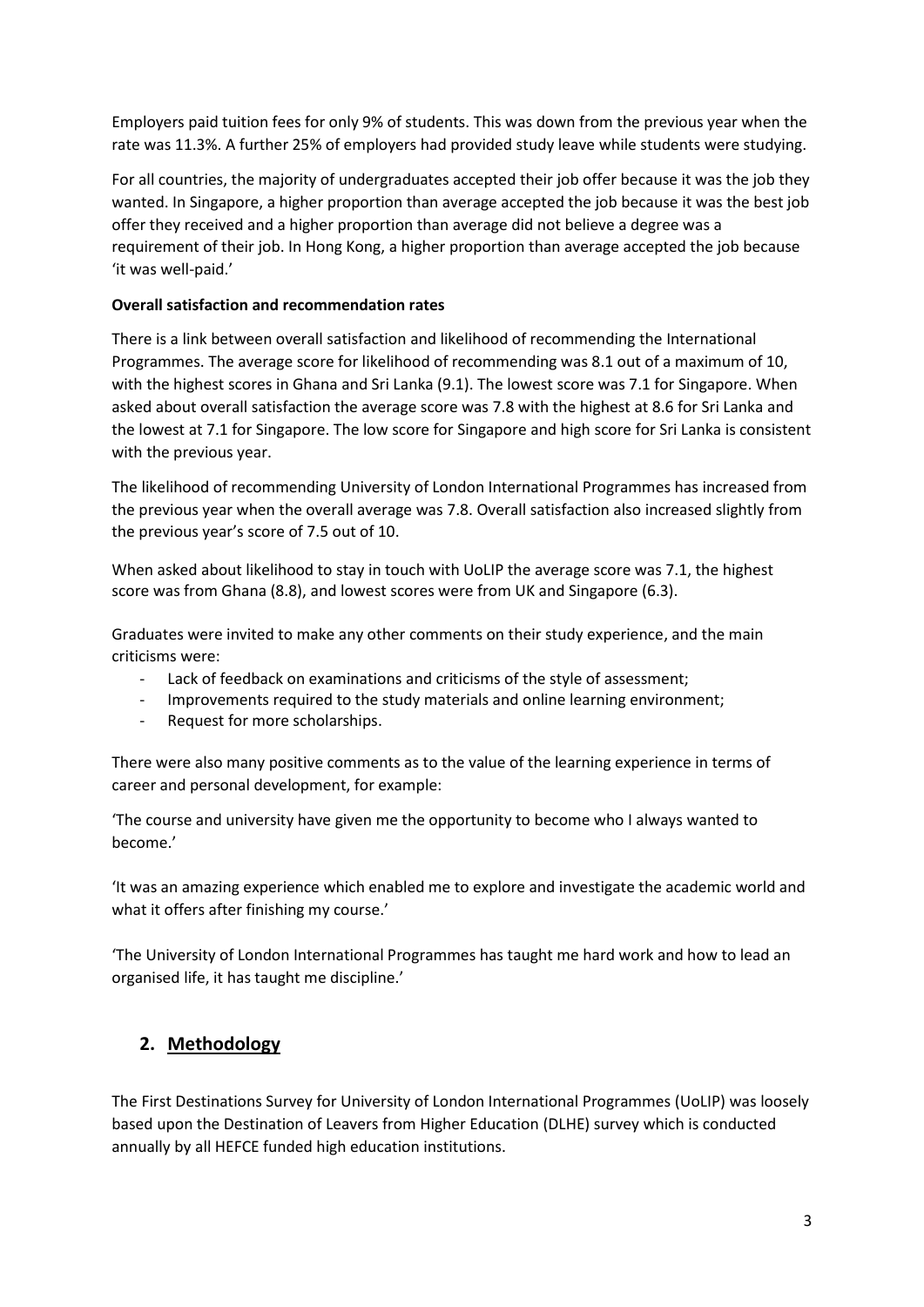Employers paid tuition fees for only 9% of students. This was down from the previous year when the rate was 11.3%. A further 25% of employers had provided study leave while students were studying.

For all countries, the majority of undergraduates accepted their job offer because it was the job they wanted. In Singapore, a higher proportion than average accepted the job because it was the best job offer they received and a higher proportion than average did not believe a degree was a requirement of their job. In Hong Kong, a higher proportion than average accepted the job because 'it was well-paid.'

#### **Overall satisfaction and recommendation rates**

There is a link between overall satisfaction and likelihood of recommending the International Programmes. The average score for likelihood of recommending was 8.1 out of a maximum of 10, with the highest scores in Ghana and Sri Lanka (9.1). The lowest score was 7.1 for Singapore. When asked about overall satisfaction the average score was 7.8 with the highest at 8.6 for Sri Lanka and the lowest at 7.1 for Singapore. The low score for Singapore and high score for Sri Lanka is consistent with the previous year.

The likelihood of recommending University of London International Programmes has increased from the previous year when the overall average was 7.8. Overall satisfaction also increased slightly from the previous year's score of 7.5 out of 10.

When asked about likelihood to stay in touch with UoLIP the average score was 7.1, the highest score was from Ghana (8.8), and lowest scores were from UK and Singapore (6.3).

Graduates were invited to make any other comments on their study experience, and the main criticisms were:

- Lack of feedback on examinations and criticisms of the style of assessment:
- Improvements required to the study materials and online learning environment;
- Request for more scholarships.

There were also many positive comments as to the value of the learning experience in terms of career and personal development, for example:

'The course and university have given me the opportunity to become who I always wanted to become.'

'It was an amazing experience which enabled me to explore and investigate the academic world and what it offers after finishing my course.'

'The University of London International Programmes has taught me hard work and how to lead an organised life, it has taught me discipline.'

#### **2. Methodology**

The First Destinations Survey for University of London International Programmes (UoLIP) was loosely based upon the Destination of Leavers from Higher Education (DLHE) survey which is conducted annually by all HEFCE funded high education institutions.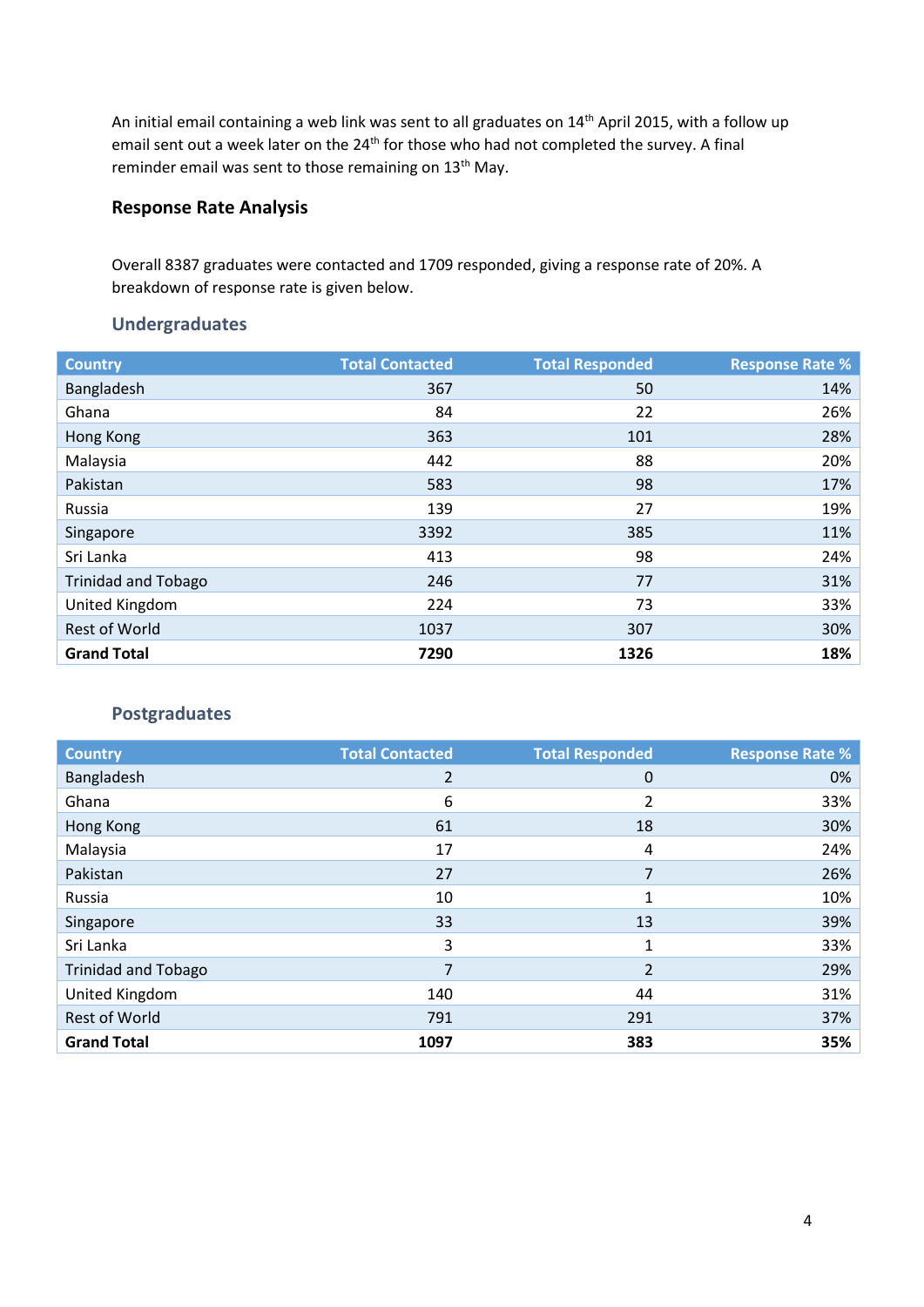An initial email containing a web link was sent to all graduates on 14<sup>th</sup> April 2015, with a follow up email sent out a week later on the 24<sup>th</sup> for those who had not completed the survey. A final reminder email was sent to those remaining on 13<sup>th</sup> May.

### **Response Rate Analysis**

Overall 8387 graduates were contacted and 1709 responded, giving a response rate of 20%. A breakdown of response rate is given below.

### **Undergraduates**

| <b>Country</b>             | <b>Total Contacted</b> | <b>Total Responded</b> | <b>Response Rate %</b> |
|----------------------------|------------------------|------------------------|------------------------|
| Bangladesh                 | 367                    | 50                     | 14%                    |
| Ghana                      | 84                     | 22                     | 26%                    |
| Hong Kong                  | 363                    | 101                    | 28%                    |
| Malaysia                   | 442                    | 88                     | 20%                    |
| Pakistan                   | 583                    | 98                     | 17%                    |
| Russia                     | 139                    | 27                     | 19%                    |
| Singapore                  | 3392                   | 385                    | 11%                    |
| Sri Lanka                  | 413                    | 98                     | 24%                    |
| <b>Trinidad and Tobago</b> | 246                    | 77                     | 31%                    |
| United Kingdom             | 224                    | 73                     | 33%                    |
| <b>Rest of World</b>       | 1037                   | 307                    | 30%                    |
| <b>Grand Total</b>         | 7290                   | 1326                   | 18%                    |

#### **Postgraduates**

| <b>Country</b>             | <b>Total Contacted</b> | <b>Total Responded</b> | <b>Response Rate %</b> |
|----------------------------|------------------------|------------------------|------------------------|
| Bangladesh                 | 2                      | 0                      | 0%                     |
| Ghana                      | 6                      | 2                      | 33%                    |
| Hong Kong                  | 61                     | 18                     | 30%                    |
| Malaysia                   | 17                     | 4                      | 24%                    |
| Pakistan                   | 27                     | 7                      | 26%                    |
| Russia                     | 10                     | 1                      | 10%                    |
| Singapore                  | 33                     | 13                     | 39%                    |
| Sri Lanka                  | 3                      | 1                      | 33%                    |
| <b>Trinidad and Tobago</b> | 7                      | $\overline{2}$         | 29%                    |
| United Kingdom             | 140                    | 44                     | 31%                    |
| Rest of World              | 791                    | 291                    | 37%                    |
| <b>Grand Total</b>         | 1097                   | 383                    | 35%                    |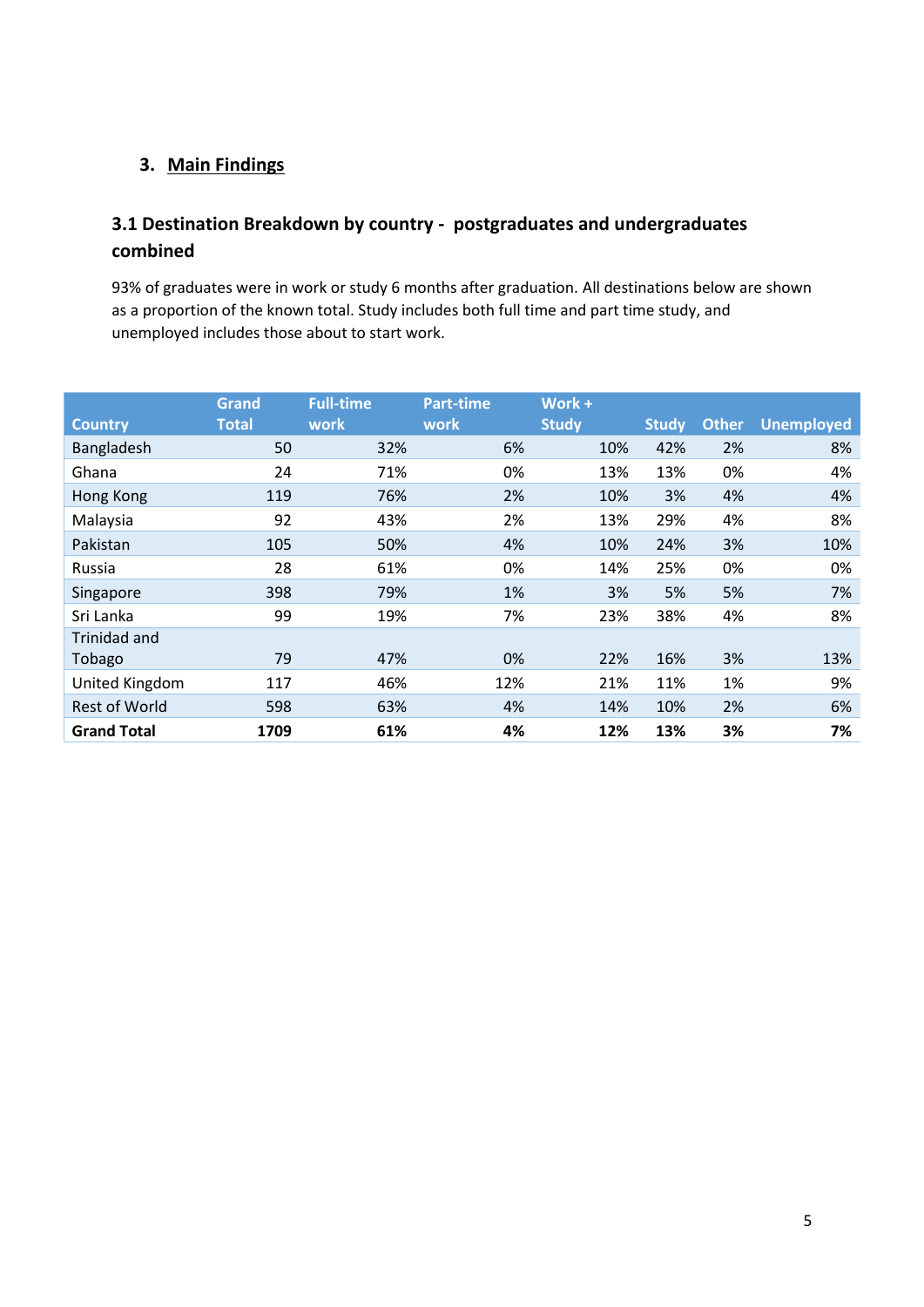### **3. Main Findings**

## **3.1 Destination Breakdown by country - postgraduates and undergraduates combined**

93% of graduates were in work or study 6 months after graduation. All destinations below are shown as a proportion of the known total. Study includes both full time and part time study, and unemployed includes those about to start work.

|                      | Grand        | <b>Full-time</b> | <b>Part-time</b> | Work $+$     |              |              |                   |
|----------------------|--------------|------------------|------------------|--------------|--------------|--------------|-------------------|
| <b>Country</b>       | <b>Total</b> | work             | work             | <b>Study</b> | <b>Study</b> | <b>Other</b> | <b>Unemployed</b> |
| Bangladesh           | 50           | 32%              | 6%               | 10%          | 42%          | 2%           | 8%                |
| Ghana                | 24           | 71%              | 0%               | 13%          | 13%          | 0%           | 4%                |
| Hong Kong            | 119          | 76%              | 2%               | 10%          | 3%           | 4%           | 4%                |
| Malaysia             | 92           | 43%              | 2%               | 13%          | 29%          | 4%           | 8%                |
| Pakistan             | 105          | 50%              | 4%               | 10%          | 24%          | 3%           | 10%               |
| Russia               | 28           | 61%              | 0%               | 14%          | 25%          | 0%           | 0%                |
| Singapore            | 398          | 79%              | 1%               | 3%           | 5%           | 5%           | 7%                |
| Sri Lanka            | 99           | 19%              | 7%               | 23%          | 38%          | 4%           | 8%                |
| Trinidad and         |              |                  |                  |              |              |              |                   |
| Tobago               | 79           | 47%              | 0%               | 22%          | 16%          | 3%           | 13%               |
| United Kingdom       | 117          | 46%              | 12%              | 21%          | 11%          | 1%           | 9%                |
| <b>Rest of World</b> | 598          | 63%              | 4%               | 14%          | 10%          | 2%           | 6%                |
| <b>Grand Total</b>   | 1709         | 61%              | 4%               | 12%          | 13%          | 3%           | 7%                |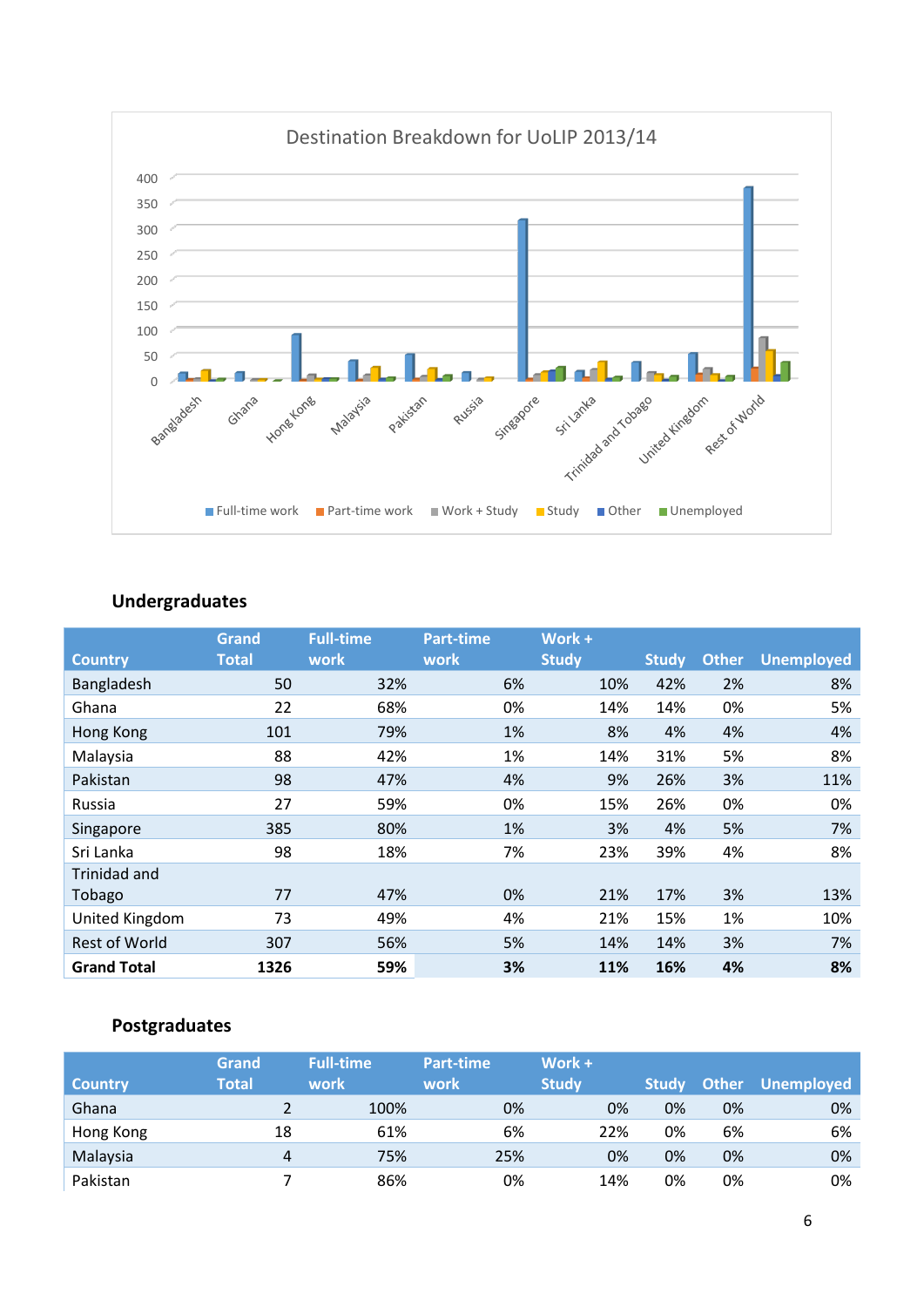

## **Undergraduates**

|                      | Grand        | <b>Full-time</b> | <b>Part-time</b>  | Work +       |              |              |                   |
|----------------------|--------------|------------------|-------------------|--------------|--------------|--------------|-------------------|
| <b>Country</b>       | <b>Total</b> | work             | work <sup>'</sup> | <b>Study</b> | <b>Study</b> | <b>Other</b> | <b>Unemployed</b> |
| Bangladesh           | 50           | 32%              | 6%                | 10%          | 42%          | 2%           | 8%                |
| Ghana                | 22           | 68%              | 0%                | 14%          | 14%          | 0%           | 5%                |
| Hong Kong            | 101          | 79%              | 1%                | 8%           | 4%           | 4%           | 4%                |
| Malaysia             | 88           | 42%              | 1%                | 14%          | 31%          | 5%           | 8%                |
| Pakistan             | 98           | 47%              | 4%                | 9%           | 26%          | 3%           | 11%               |
| Russia               | 27           | 59%              | 0%                | 15%          | 26%          | 0%           | 0%                |
| Singapore            | 385          | 80%              | 1%                | 3%           | 4%           | 5%           | 7%                |
| Sri Lanka            | 98           | 18%              | 7%                | 23%          | 39%          | 4%           | 8%                |
| Trinidad and         |              |                  |                   |              |              |              |                   |
| Tobago               | 77           | 47%              | 0%                | 21%          | 17%          | 3%           | 13%               |
| United Kingdom       | 73           | 49%              | 4%                | 21%          | 15%          | 1%           | 10%               |
| <b>Rest of World</b> | 307          | 56%              | 5%                | 14%          | 14%          | 3%           | 7%                |
| <b>Grand Total</b>   | 1326         | 59%              | 3%                | 11%          | 16%          | 4%           | 8%                |

### **Postgraduates**

| <b>Country</b> | Grand<br>Total | <b>Full-time</b><br>work | Part-time<br>work | Work +<br><b>Study</b> | <b>Study</b> | <b>Other</b> | <b>Unemployed</b> |
|----------------|----------------|--------------------------|-------------------|------------------------|--------------|--------------|-------------------|
|                |                |                          |                   |                        |              |              |                   |
| Ghana          |                | 100%                     | 0%                | 0%                     | 0%           | 0%           | 0%                |
| Hong Kong      | 18             | 61%                      | 6%                | 22%                    | 0%           | 6%           | 6%                |
| Malaysia       | 4              | 75%                      | 25%               | 0%                     | 0%           | 0%           | 0%                |
| Pakistan       |                | 86%                      | 0%                | 14%                    | 0%           | 0%           | 0%                |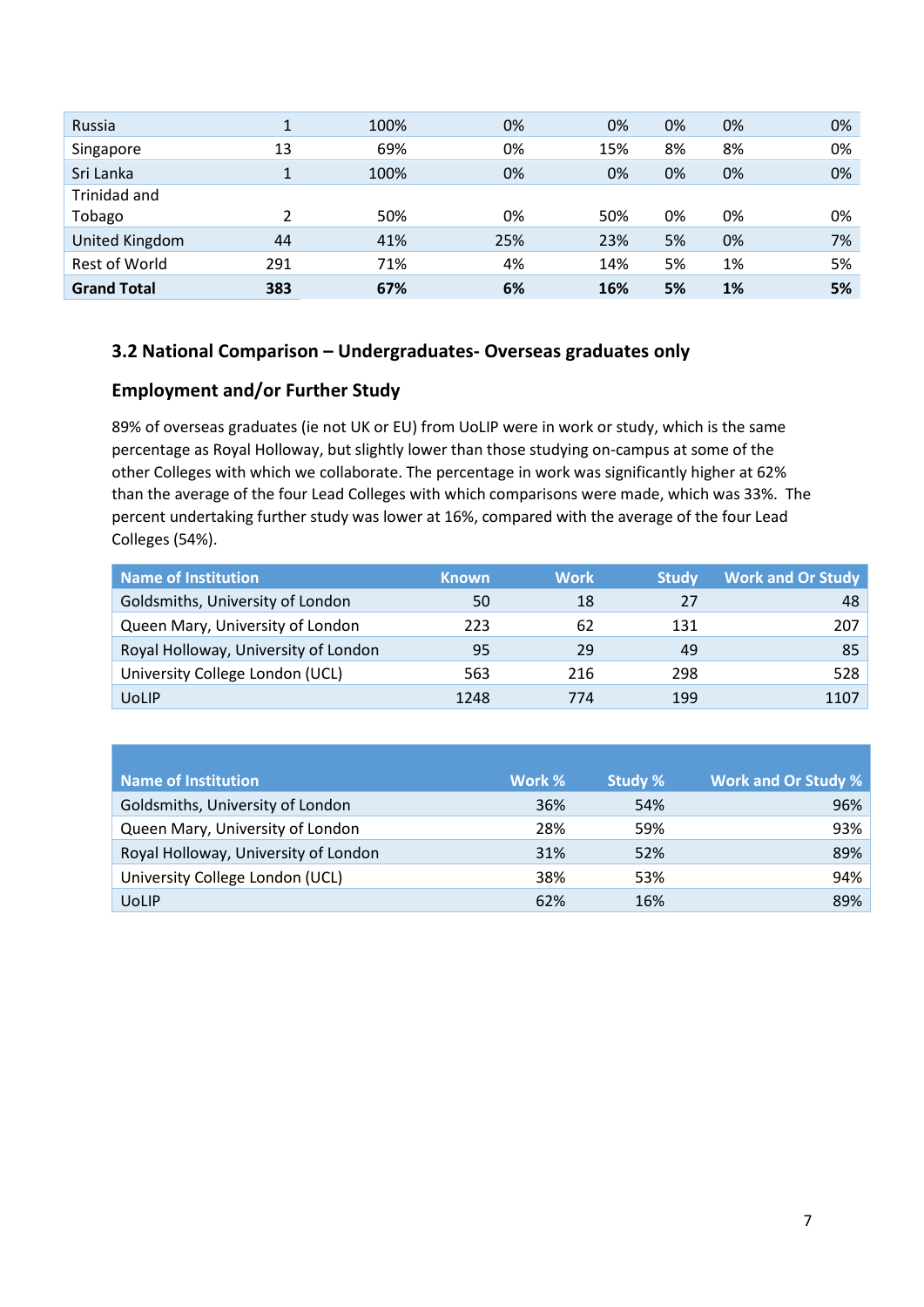| Russia               | 1   | 100% | 0%  | 0%  | 0% | 0% | 0% |
|----------------------|-----|------|-----|-----|----|----|----|
| Singapore            | 13  | 69%  | 0%  | 15% | 8% | 8% | 0% |
| Sri Lanka            | 1   | 100% | 0%  | 0%  | 0% | 0% | 0% |
| Trinidad and         |     |      |     |     |    |    |    |
| Tobago               | 2   | 50%  | 0%  | 50% | 0% | 0% | 0% |
| United Kingdom       | 44  | 41%  | 25% | 23% | 5% | 0% | 7% |
| <b>Rest of World</b> | 291 | 71%  | 4%  | 14% | 5% | 1% | 5% |
| <b>Grand Total</b>   | 383 | 67%  | 6%  | 16% | 5% | 1% | 5% |

#### **3.2 National Comparison – Undergraduates- Overseas graduates only**

### **Employment and/or Further Study**

89% of overseas graduates (ie not UK or EU) from UoLIP were in work or study, which is the same percentage as Royal Holloway, but slightly lower than those studying on-campus at some of the other Colleges with which we collaborate. The percentage in work was significantly higher at 62% than the average of the four Lead Colleges with which comparisons were made, which was 33%. The percent undertaking further study was lower at 16%, compared with the average of the four Lead Colleges (54%).

| Name of Institution                  | <b>Known</b> | <b>Work</b> | <b>Study</b> | <b>Work and Or Study</b> |
|--------------------------------------|--------------|-------------|--------------|--------------------------|
| Goldsmiths, University of London     | 50           | 18          | 27           | 48                       |
| Queen Mary, University of London     | 223          | 62          | 131          | 207                      |
| Royal Holloway, University of London | 95           | 29          | 49           | 85                       |
| University College London (UCL)      | 563          | 216         | 298          | 528                      |
| <b>UoLIP</b>                         | 1248         | 774         | 199          | 1107                     |

| Name of Institution                  | Work % | Study % | <b>Work and Or Study %</b> |
|--------------------------------------|--------|---------|----------------------------|
| Goldsmiths, University of London     | 36%    | 54%     | 96%                        |
| Queen Mary, University of London     | 28%    | 59%     | 93%                        |
| Royal Holloway, University of London | 31%    | 52%     | 89%                        |
| University College London (UCL)      | 38%    | 53%     | 94%                        |
| <b>UoLIP</b>                         | 62%    | 16%     | 89%                        |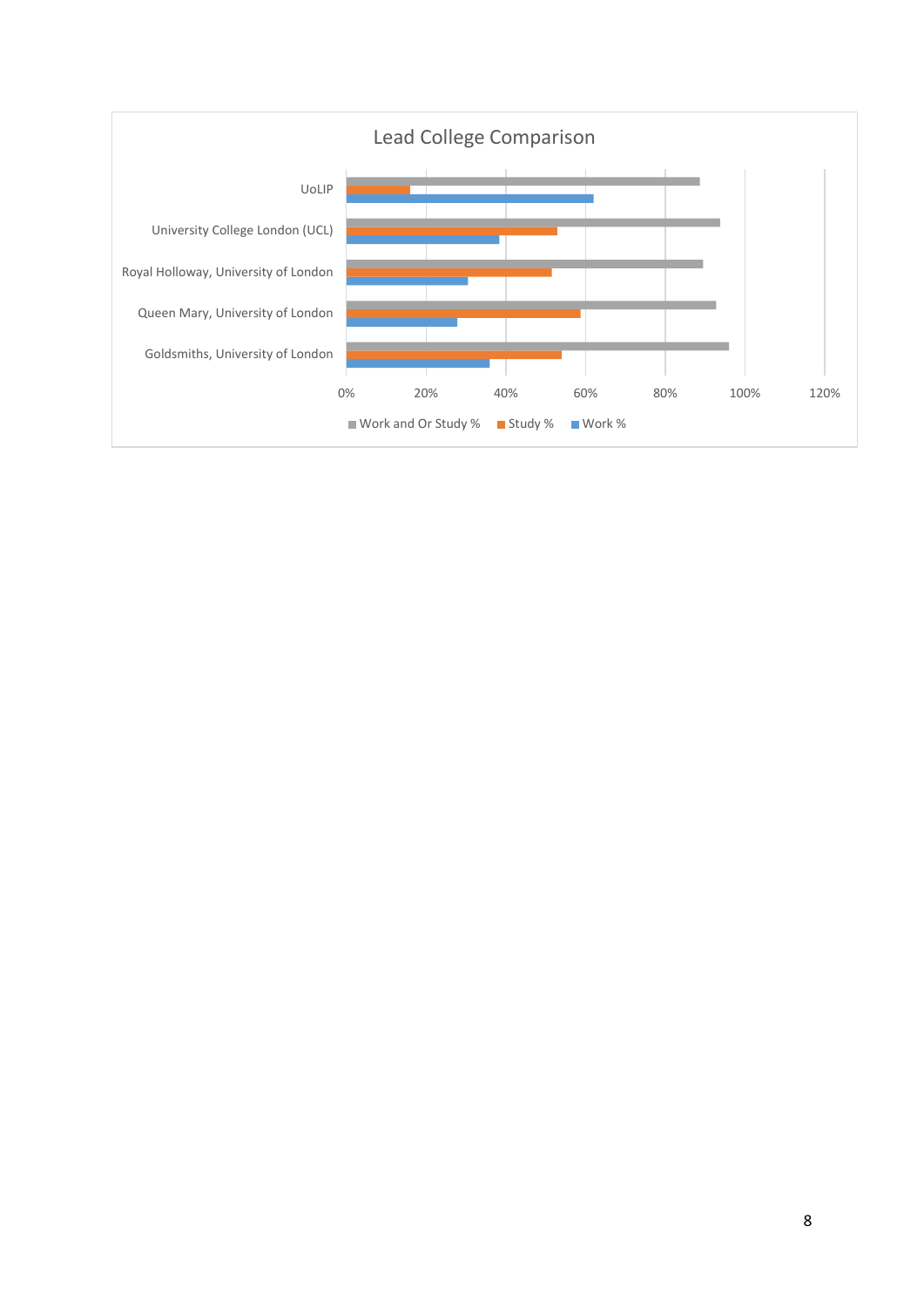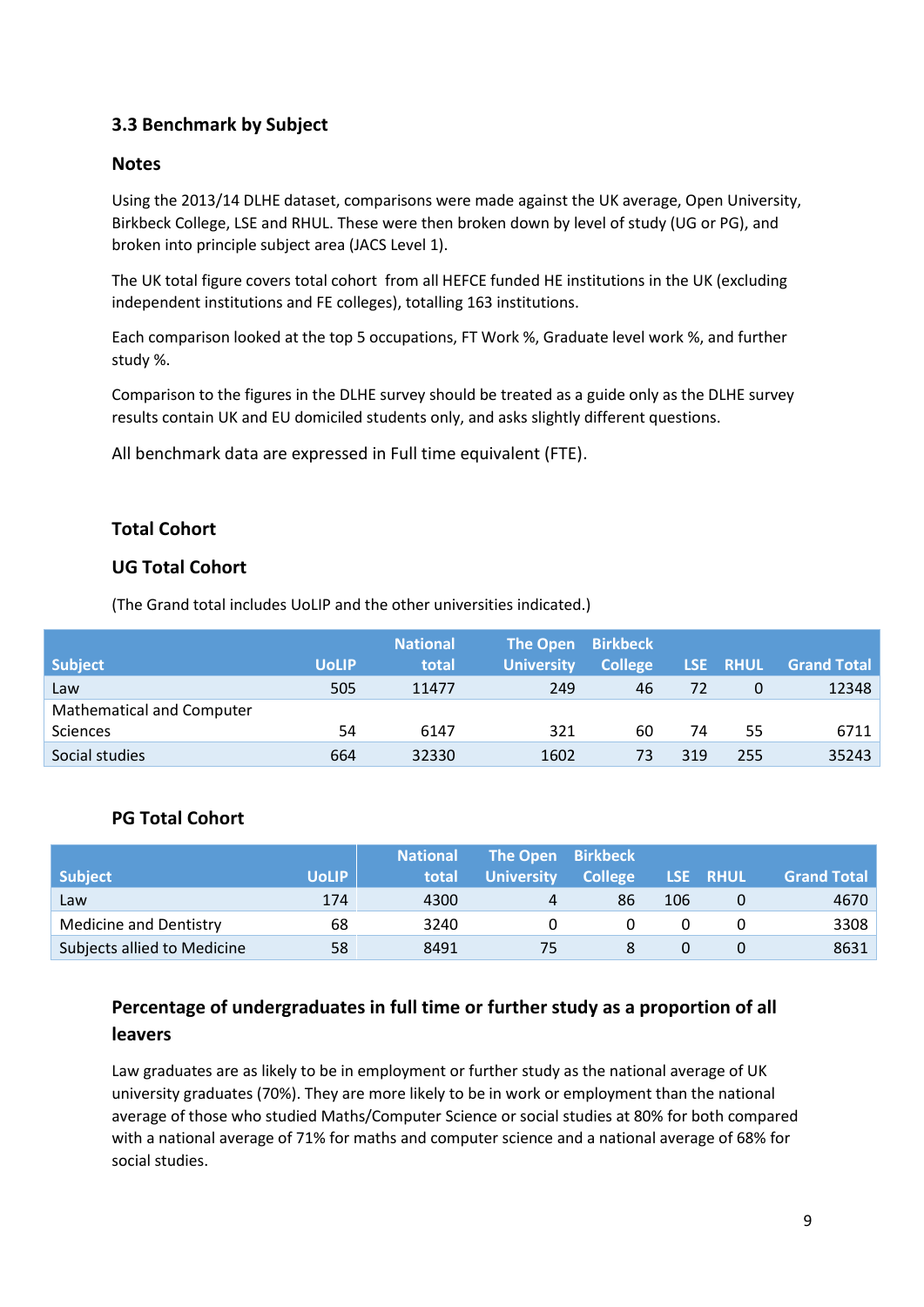### **3.3 Benchmark by Subject**

#### **Notes**

Using the 2013/14 DLHE dataset, comparisons were made against the UK average, Open University, Birkbeck College, LSE and RHUL. These were then broken down by level of study (UG or PG), and broken into principle subject area (JACS Level 1).

The UK total figure covers total cohort from all HEFCE funded HE institutions in the UK (excluding independent institutions and FE colleges), totalling 163 institutions.

Each comparison looked at the top 5 occupations, FT Work %, Graduate level work %, and further study %.

Comparison to the figures in the DLHE survey should be treated as a guide only as the DLHE survey results contain UK and EU domiciled students only, and asks slightly different questions.

All benchmark data are expressed in Full time equivalent (FTE).

#### **Total Cohort**

#### **UG Total Cohort**

(The Grand total includes UoLIP and the other universities indicated.)

|                                  |              | <b>National</b> | <b>The Open</b>   | <b>Birkbeck</b> |     |          |                    |
|----------------------------------|--------------|-----------------|-------------------|-----------------|-----|----------|--------------------|
| <b>Subject</b>                   | <b>UoLIP</b> | total           | <b>University</b> | <b>College</b>  |     | LSE RHUL | <b>Grand Total</b> |
| Law                              | 505          | 11477           | 249               | 46              | 72  | 0        | 12348              |
| <b>Mathematical and Computer</b> |              |                 |                   |                 |     |          |                    |
| <b>Sciences</b>                  | 54           | 6147            | 321               | 60              | 74  | 55       | 6711               |
| Social studies                   | 664          | 32330           | 1602              | 73              | 319 | 255      | 35243              |

#### **PG Total Cohort**

|                               |              | <b>National</b> | The Open Birkbeck |                |     |          |                    |
|-------------------------------|--------------|-----------------|-------------------|----------------|-----|----------|--------------------|
| Subject                       | <b>UoLIP</b> | total           | <b>University</b> | <b>College</b> |     | LSE RHUL | <b>Grand Total</b> |
| Law                           | 174          | 4300            | 4                 | 86             | 106 |          | 4670               |
| <b>Medicine and Dentistry</b> | 68           | 3240            |                   |                |     |          | 3308               |
| Subjects allied to Medicine   | 58           | 8491            |                   |                |     |          | 8631               |

## **Percentage of undergraduates in full time or further study as a proportion of all leavers**

Law graduates are as likely to be in employment or further study as the national average of UK university graduates (70%). They are more likely to be in work or employment than the national average of those who studied Maths/Computer Science or social studies at 80% for both compared with a national average of 71% for maths and computer science and a national average of 68% for social studies.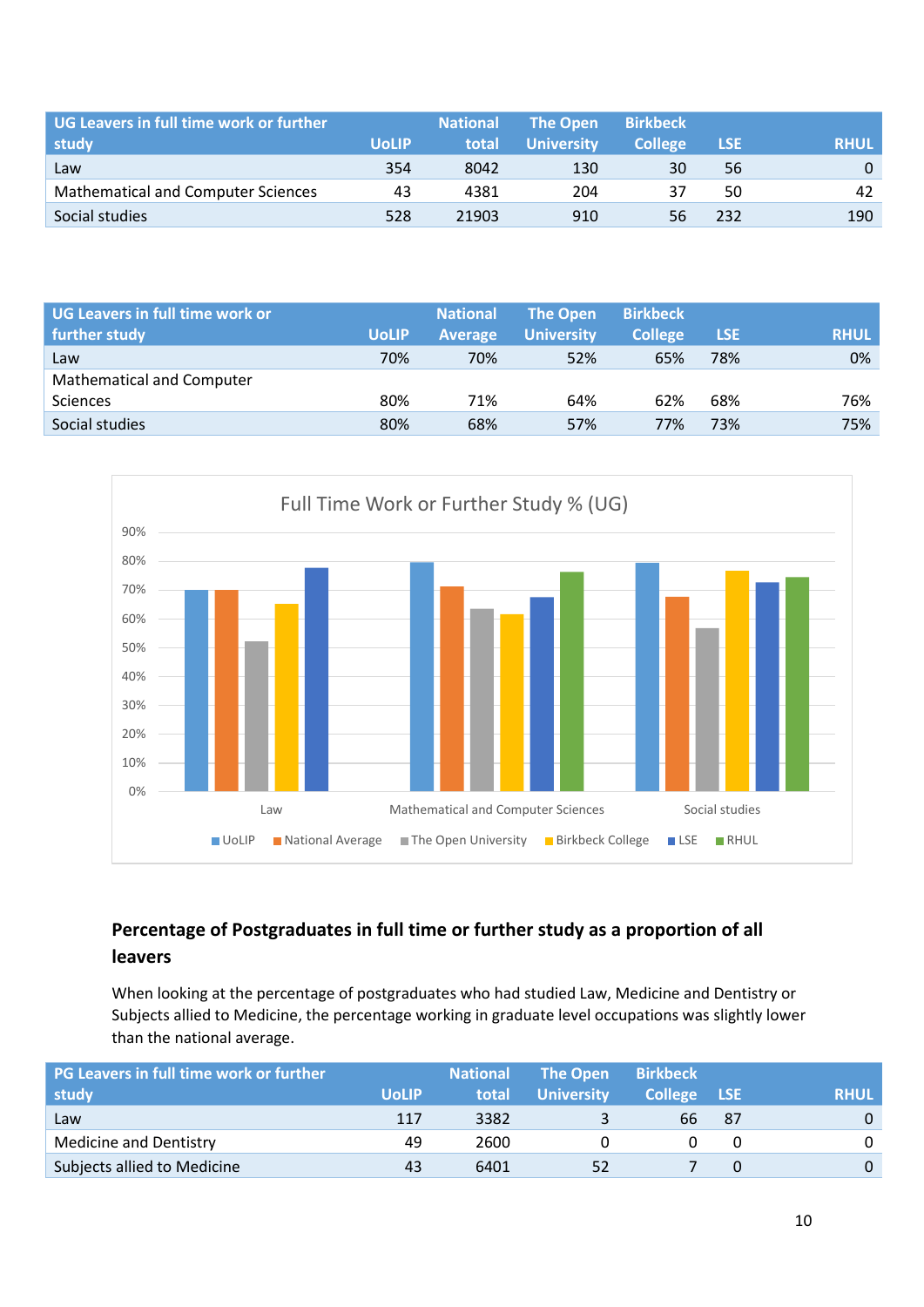| UG Leavers in full time work or further   |              | <b>National</b> | The Open          | <b>Birkbeck</b> |            |             |
|-------------------------------------------|--------------|-----------------|-------------------|-----------------|------------|-------------|
| study                                     | <b>UoLIP</b> | total           | <b>University</b> | <b>College</b>  | <b>LSE</b> | <b>RHUL</b> |
| Law                                       | 354          | 8042            | 130               | 30              | 56         | 0           |
| <b>Mathematical and Computer Sciences</b> | 43           | 4381            | 204               | 37              | 50         | 42          |
| Social studies                            | 528          | 21903           | 910               | 56              | 232        | 190         |

| UG Leavers in full time work or<br>further study | <b>UoLIP</b> | <b>National</b><br><b>Average</b> | <b>The Open</b><br><b>University</b> | <b>Birkbeck</b><br><b>College</b> | <b>LSE</b> | <b>RHUL</b> |
|--------------------------------------------------|--------------|-----------------------------------|--------------------------------------|-----------------------------------|------------|-------------|
| Law                                              | 70%          | 70%                               | 52%                                  | 65%                               | 78%        | 0%          |
| <b>Mathematical and Computer</b>                 |              |                                   |                                      |                                   |            |             |
| <b>Sciences</b>                                  | 80%          | 71%                               | 64%                                  | 62%                               | 68%        | 76%         |
| Social studies                                   | 80%          | 68%                               | 57%                                  | 77%                               | 73%        | 75%         |



## **Percentage of Postgraduates in full time or further study as a proportion of all leavers**

When looking at the percentage of postgraduates who had studied Law, Medicine and Dentistry or Subjects allied to Medicine, the percentage working in graduate level occupations was slightly lower than the national average.

| <b>PG Leavers in full time work or further</b> |              | <b>National</b> | <b>The Open</b>   | <b>Birkbeck</b> |     |             |
|------------------------------------------------|--------------|-----------------|-------------------|-----------------|-----|-------------|
| study                                          | <b>UoLIP</b> | total           | <b>University</b> | College LSE     |     | <b>RHUL</b> |
| Law                                            | 117          | 3382            |                   | 66              | -87 | $\Omega$    |
| <b>Medicine and Dentistry</b>                  | 49           | 2600            |                   |                 |     | 0           |
| Subjects allied to Medicine                    | 43           | 6401            | 52                |                 |     | $\Omega$    |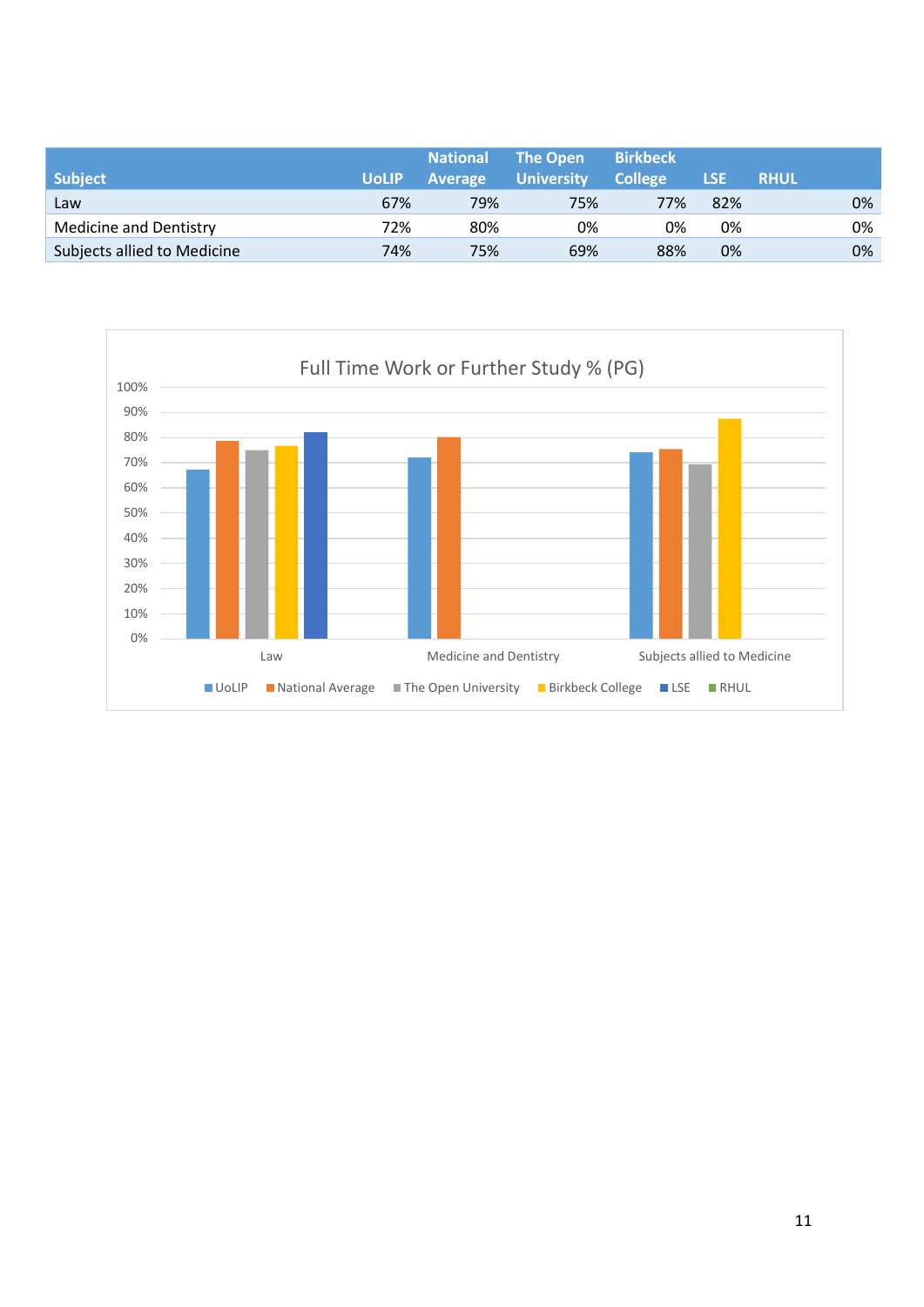| <b>National</b><br><b>Average</b> | <b>University</b> | <b>Birkbeck</b><br><b>College</b> | <b>LSE</b> | <b>RHUL</b> |                 |
|-----------------------------------|-------------------|-----------------------------------|------------|-------------|-----------------|
| 79%                               | 75%               | 77%                               | 82%        |             | 0%              |
| 80%                               | 0%                | 0%                                | 0%         |             | 0%              |
| 75%                               | 69%               | 88%                               | 0%         |             | 0%              |
|                                   | 67%<br>72%<br>74% |                                   |            |             | <b>The Open</b> |

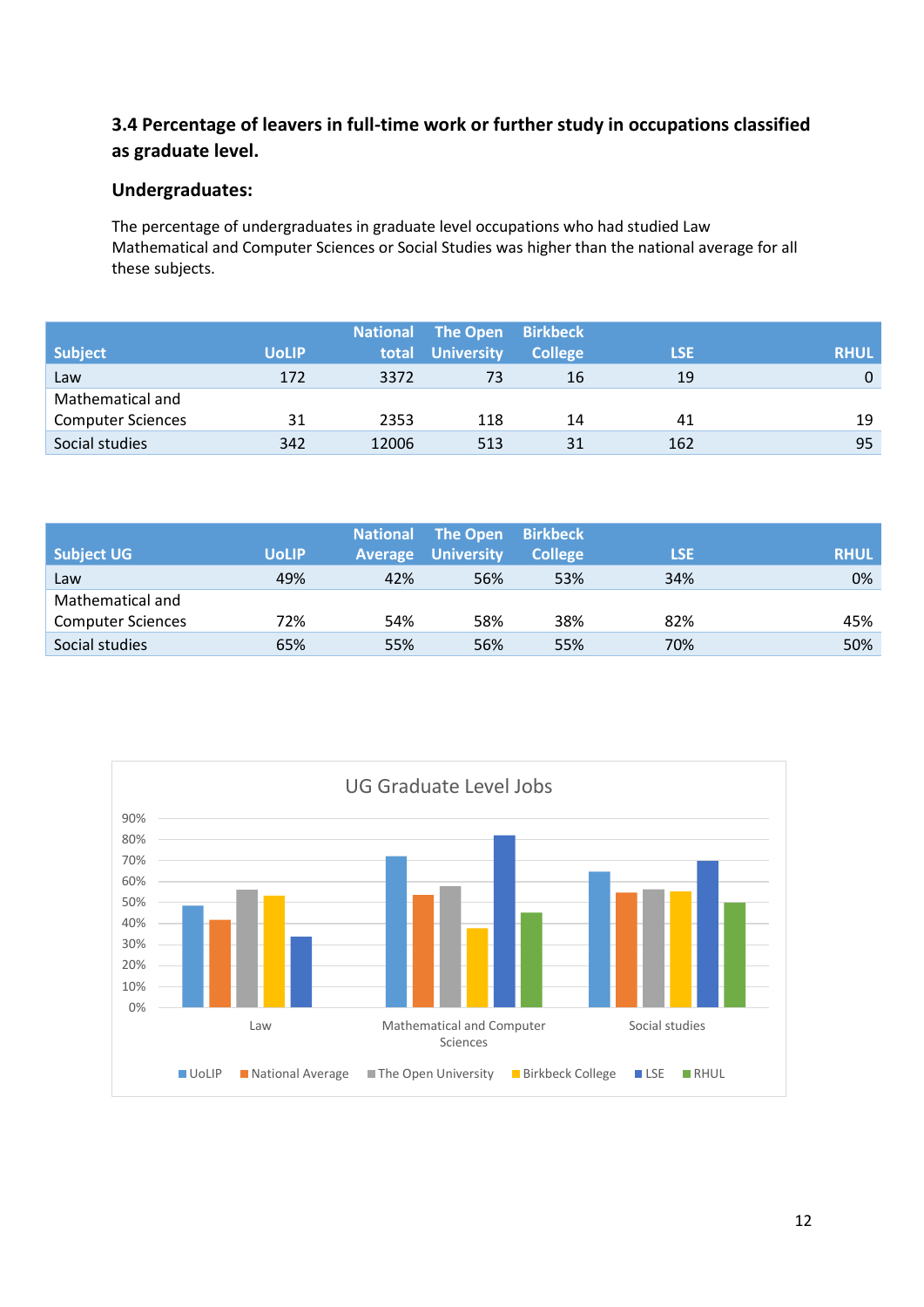## **3.4 Percentage of leavers in full-time work or further study in occupations classified as graduate level.**

### **Undergraduates:**

The percentage of undergraduates in graduate level occupations who had studied Law Mathematical and Computer Sciences or Social Studies was higher than the national average for all these subjects.

|                          |              |       | <b>National The Open</b> | <b>Birkbeck</b> |            |             |
|--------------------------|--------------|-------|--------------------------|-----------------|------------|-------------|
| <b>Subject</b>           | <b>UoLIP</b> | total | <b>University</b>        | <b>College</b>  | <b>LSE</b> | <b>RHUL</b> |
| Law                      | 172          | 3372  | 73                       | 16              | 19         | $\Omega$    |
| Mathematical and         |              |       |                          |                 |            |             |
| <b>Computer Sciences</b> | 31           | 2353  | 118                      | 14              | 41         | 19          |
| Social studies           | 342          | 12006 | 513                      | 31              | 162        | 95          |

|                          |              | <b>National</b> | The Open          | <b>Birkbeck</b> |            |             |
|--------------------------|--------------|-----------------|-------------------|-----------------|------------|-------------|
| <b>Subject UG</b>        | <b>UoLIP</b> | <b>Average</b>  | <b>University</b> | <b>College</b>  | <b>LSE</b> | <b>RHUL</b> |
| Law                      | 49%          | 42%             | 56%               | 53%             | 34%        | 0%          |
| Mathematical and         |              |                 |                   |                 |            |             |
| <b>Computer Sciences</b> | 72%          | 54%             | 58%               | 38%             | 82%        | 45%         |
| Social studies           | 65%          | 55%             | 56%               | 55%             | 70%        | 50%         |

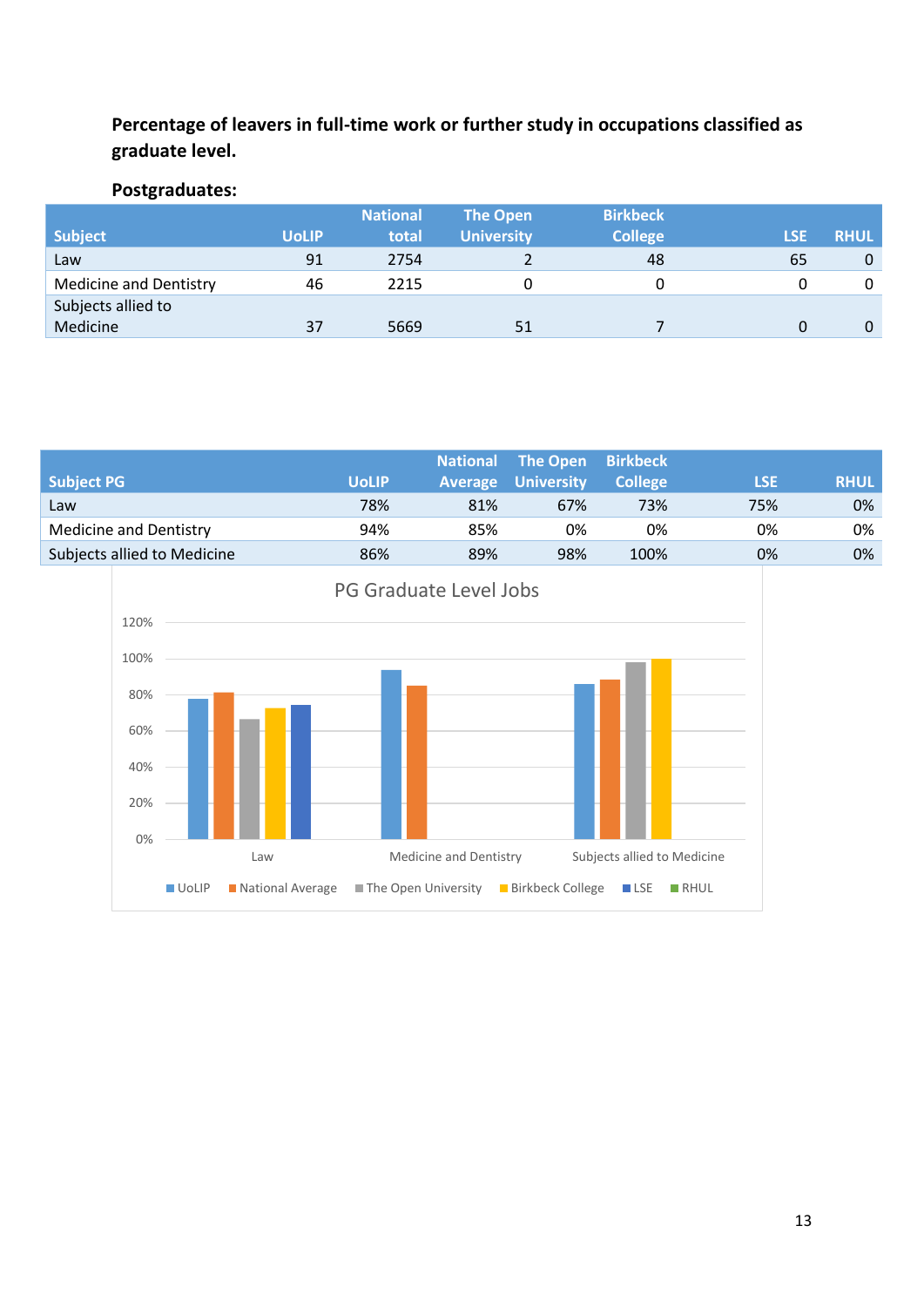## **Percentage of leavers in full-time work or further study in occupations classified as graduate level.**

# **Postgraduates:**

|                               |              | <b>National</b> | <b>The Open</b>   | <b>Birkbeck</b> |             |             |
|-------------------------------|--------------|-----------------|-------------------|-----------------|-------------|-------------|
| <b>Subject</b>                | <b>UoLIP</b> | total           | <b>University</b> | <b>College</b>  | <b>/LSE</b> | <b>RHUL</b> |
| Law                           | 91           | 2754            |                   | 48              | 65          | $\mathbf 0$ |
| <b>Medicine and Dentistry</b> | 46           | 2215            |                   |                 |             | 0           |
| Subjects allied to            |              |                 |                   |                 |             |             |
| Medicine                      | 37           | 5669            | 51                |                 |             | $\Omega$    |

|                               |              | <b>National</b> | The Open                  | <b>Birkbeck</b> |            |             |
|-------------------------------|--------------|-----------------|---------------------------|-----------------|------------|-------------|
| <b>Subject PG</b>             | <b>UoLIP</b> |                 | <b>Average University</b> | <b>College</b>  | <b>LSE</b> | <b>RHUL</b> |
| Law                           | 78%          | 81%             | 67%                       | 73%             | 75%        | 0%          |
| <b>Medicine and Dentistry</b> | 94%          | 85%             | 0%                        | 0%              | 0%         | 0%          |
| Subjects allied to Medicine   | 86%          | 89%             | 98%                       | 100%            | 0%         | 0%          |

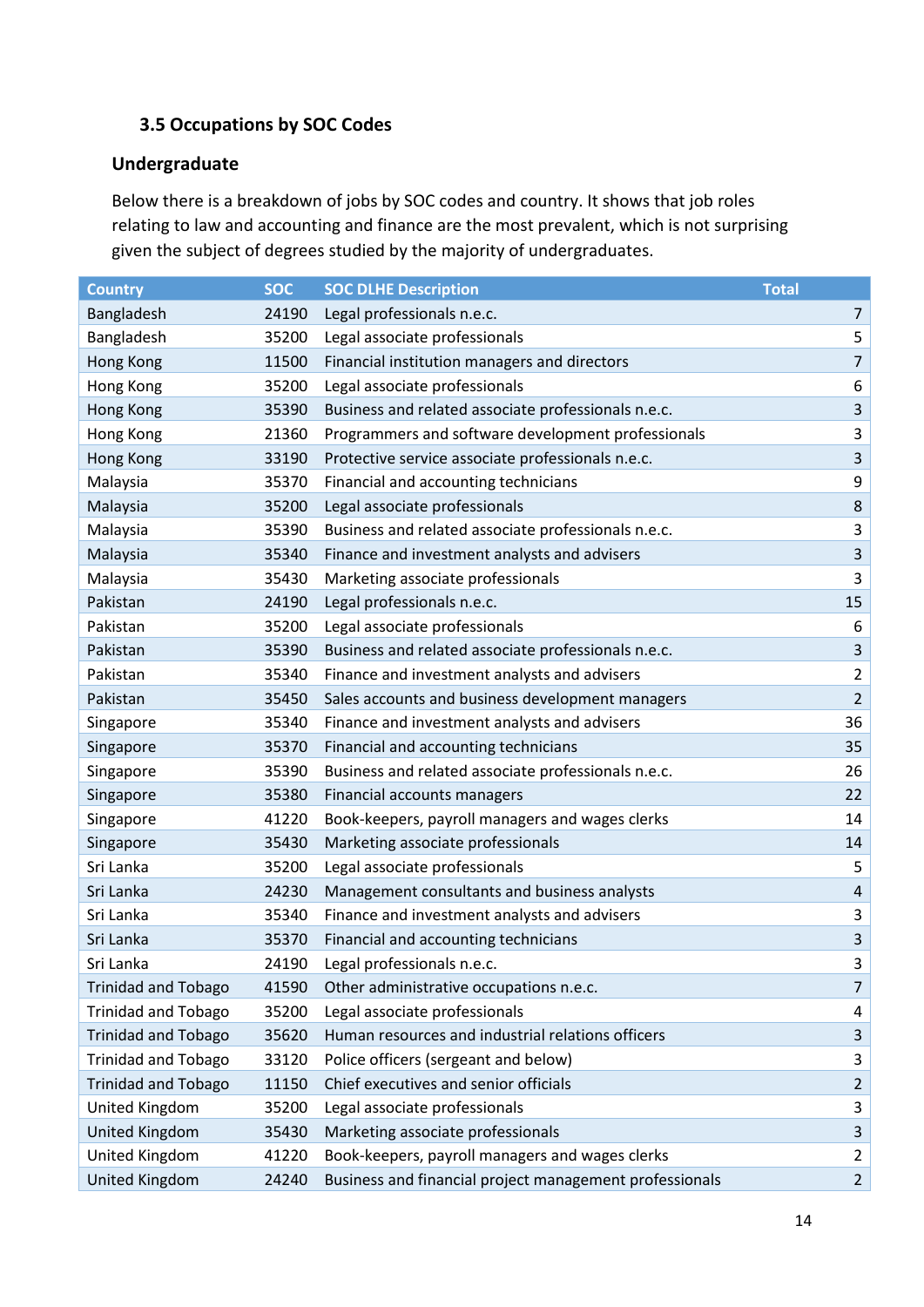## **3.5 Occupations by SOC Codes**

### **Undergraduate**

Below there is a breakdown of jobs by SOC codes and country. It shows that job roles relating to law and accounting and finance are the most prevalent, which is not surprising given the subject of degrees studied by the majority of undergraduates.

| <b>Country</b>             | <b>SOC</b> | <b>SOC DLHE Description</b>                             | <b>Total</b>   |
|----------------------------|------------|---------------------------------------------------------|----------------|
| Bangladesh                 | 24190      | Legal professionals n.e.c.                              | 7              |
| Bangladesh                 | 35200      | Legal associate professionals                           | 5              |
| Hong Kong                  | 11500      | Financial institution managers and directors            | $\overline{7}$ |
| Hong Kong                  | 35200      | Legal associate professionals                           | 6              |
| Hong Kong                  | 35390      | Business and related associate professionals n.e.c.     | $\mathbf{3}$   |
| Hong Kong                  | 21360      | Programmers and software development professionals      | 3              |
| Hong Kong                  | 33190      | Protective service associate professionals n.e.c.       | $\overline{3}$ |
| Malaysia                   | 35370      | Financial and accounting technicians                    | 9              |
| Malaysia                   | 35200      | Legal associate professionals                           | $\,8\,$        |
| Malaysia                   | 35390      | Business and related associate professionals n.e.c.     | $\mathbf{3}$   |
| Malaysia                   | 35340      | Finance and investment analysts and advisers            | $\mathsf 3$    |
| Malaysia                   | 35430      | Marketing associate professionals                       | 3              |
| Pakistan                   | 24190      | Legal professionals n.e.c.                              | 15             |
| Pakistan                   | 35200      | Legal associate professionals                           | 6              |
| Pakistan                   | 35390      | Business and related associate professionals n.e.c.     | $\overline{3}$ |
| Pakistan                   | 35340      | Finance and investment analysts and advisers            | $\overline{2}$ |
| Pakistan                   | 35450      | Sales accounts and business development managers        | $\overline{2}$ |
| Singapore                  | 35340      | Finance and investment analysts and advisers            | 36             |
| Singapore                  | 35370      | Financial and accounting technicians                    | 35             |
| Singapore                  | 35390      | Business and related associate professionals n.e.c.     | 26             |
| Singapore                  | 35380      | Financial accounts managers                             | 22             |
| Singapore                  | 41220      | Book-keepers, payroll managers and wages clerks         | 14             |
| Singapore                  | 35430      | Marketing associate professionals                       | 14             |
| Sri Lanka                  | 35200      | Legal associate professionals                           | 5              |
| Sri Lanka                  | 24230      | Management consultants and business analysts            | $\sqrt{4}$     |
| Sri Lanka                  | 35340      | Finance and investment analysts and advisers            | $\mathsf 3$    |
| Sri Lanka                  | 35370      | Financial and accounting technicians                    | $\mathsf 3$    |
| Sri Lanka                  | 24190      | Legal professionals n.e.c.                              | 3              |
| <b>Trinidad and Tobago</b> | 41590      | Other administrative occupations n.e.c.                 | $\overline{7}$ |
| <b>Trinidad and Tobago</b> | 35200      | Legal associate professionals                           | 4              |
| <b>Trinidad and Tobago</b> | 35620      | Human resources and industrial relations officers       | $\mathbf{3}$   |
| <b>Trinidad and Tobago</b> | 33120      | Police officers (sergeant and below)                    | $\mathbf{3}$   |
| <b>Trinidad and Tobago</b> | 11150      | Chief executives and senior officials                   | $\overline{2}$ |
| United Kingdom             | 35200      | Legal associate professionals                           | 3              |
| <b>United Kingdom</b>      | 35430      | Marketing associate professionals                       | $\mathbf{3}$   |
| United Kingdom             | 41220      | Book-keepers, payroll managers and wages clerks         | $\overline{2}$ |
| United Kingdom             | 24240      | Business and financial project management professionals | $\overline{2}$ |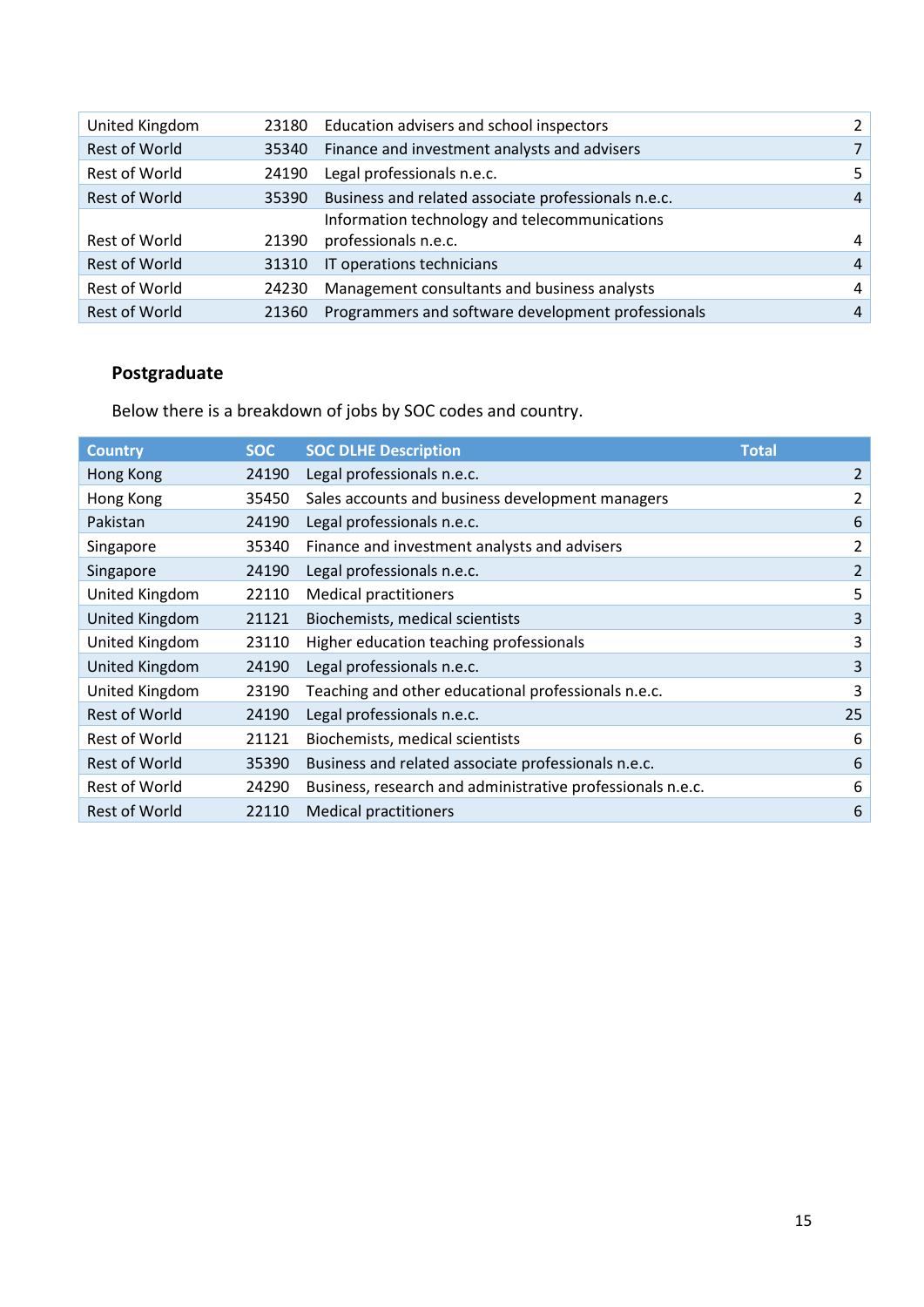| 5.             |
|----------------|
| 4              |
|                |
| 4              |
| $\overline{4}$ |
| 4              |
| 4              |
|                |

# **Postgraduate**

Below there is a breakdown of jobs by SOC codes and country.

| <b>Country</b>        | <b>SOC</b> | <b>SOC DLHE Description</b>                                | <b>Total</b>   |
|-----------------------|------------|------------------------------------------------------------|----------------|
| Hong Kong             | 24190      | Legal professionals n.e.c.                                 | $\overline{2}$ |
| Hong Kong             | 35450      | Sales accounts and business development managers           | 2              |
| Pakistan              | 24190      | Legal professionals n.e.c.                                 | 6              |
| Singapore             | 35340      | Finance and investment analysts and advisers               | 2              |
| Singapore             | 24190      | Legal professionals n.e.c.                                 | 2              |
| United Kingdom        | 22110      | <b>Medical practitioners</b>                               | 5              |
| <b>United Kingdom</b> | 21121      | Biochemists, medical scientists                            | 3              |
| United Kingdom        | 23110      | Higher education teaching professionals                    | 3              |
| <b>United Kingdom</b> | 24190      | Legal professionals n.e.c.                                 | 3              |
| United Kingdom        | 23190      | Teaching and other educational professionals n.e.c.        | 3              |
| Rest of World         | 24190      | Legal professionals n.e.c.                                 | 25             |
| <b>Rest of World</b>  | 21121      | Biochemists, medical scientists                            | 6              |
| <b>Rest of World</b>  | 35390      | Business and related associate professionals n.e.c.        | 6              |
| <b>Rest of World</b>  | 24290      | Business, research and administrative professionals n.e.c. | 6              |
| <b>Rest of World</b>  | 22110      | <b>Medical practitioners</b>                               | 6              |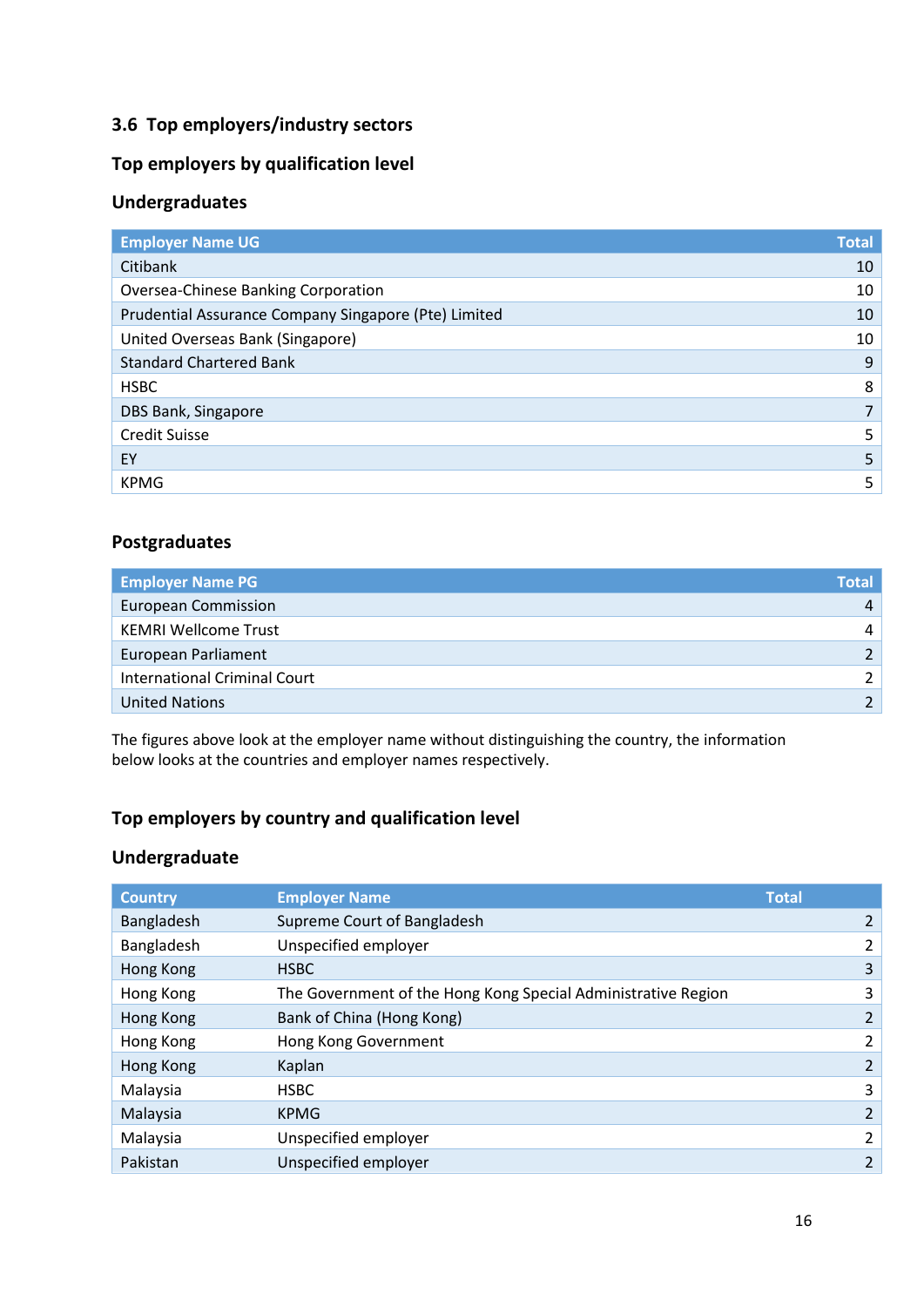### **3.6 Top employers/industry sectors**

### **Top employers by qualification level**

### **Undergraduates**

| <b>Employer Name UG</b>                              | <b>Total</b> |
|------------------------------------------------------|--------------|
| Citibank                                             | 10           |
| Oversea-Chinese Banking Corporation                  | 10           |
| Prudential Assurance Company Singapore (Pte) Limited | 10           |
| United Overseas Bank (Singapore)                     | 10           |
| <b>Standard Chartered Bank</b>                       | 9            |
| <b>HSBC</b>                                          | 8            |
| DBS Bank, Singapore                                  |              |
| <b>Credit Suisse</b>                                 | 5            |
| EY                                                   | 5            |
| <b>KPMG</b>                                          | 5            |

### **Postgraduates**

| <b>Employer Name PG</b>             | <b>Total</b> |
|-------------------------------------|--------------|
| <b>European Commission</b>          | 4            |
| <b>KEMRI Wellcome Trust</b>         | 4            |
| European Parliament                 |              |
| <b>International Criminal Court</b> |              |
| <b>United Nations</b>               |              |

The figures above look at the employer name without distinguishing the country, the information below looks at the countries and employer names respectively.

### **Top employers by country and qualification level**

### **Undergraduate**

| <b>Country</b> | <b>Employer Name</b>                                          | <b>Total</b>   |
|----------------|---------------------------------------------------------------|----------------|
| Bangladesh     | Supreme Court of Bangladesh                                   |                |
| Bangladesh     | Unspecified employer                                          | 2              |
| Hong Kong      | <b>HSBC</b>                                                   | 3              |
| Hong Kong      | The Government of the Hong Kong Special Administrative Region | 3              |
| Hong Kong      | Bank of China (Hong Kong)                                     | 2              |
| Hong Kong      | Hong Kong Government                                          | 2              |
| Hong Kong      | Kaplan                                                        | 2              |
| Malaysia       | <b>HSBC</b>                                                   | 3              |
| Malaysia       | <b>KPMG</b>                                                   | 2              |
| Malaysia       | Unspecified employer                                          | 2              |
| Pakistan       | Unspecified employer                                          | $\overline{2}$ |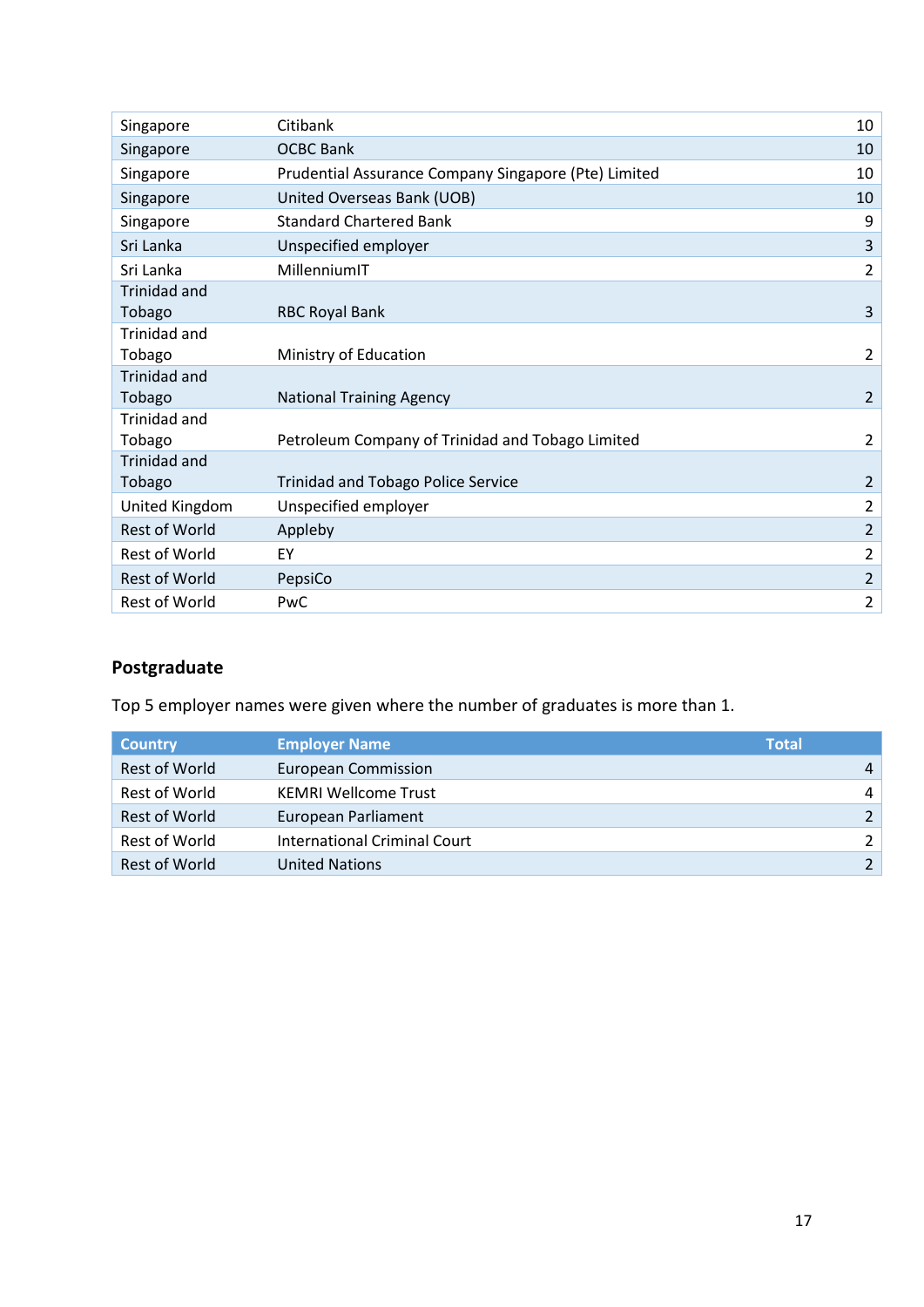| Citibank<br>Singapore<br><b>OCBC Bank</b><br>Singapore<br>Prudential Assurance Company Singapore (Pte) Limited<br>Singapore<br>United Overseas Bank (UOB)<br>Singapore<br><b>Standard Chartered Bank</b><br>Singapore<br>Sri Lanka<br>Unspecified employer<br>Sri Lanka<br>MillenniumIT<br>Trinidad and<br>Tobago<br><b>RBC Royal Bank</b><br>Trinidad and<br>Tobago<br>Ministry of Education | 10             |
|-----------------------------------------------------------------------------------------------------------------------------------------------------------------------------------------------------------------------------------------------------------------------------------------------------------------------------------------------------------------------------------------------|----------------|
|                                                                                                                                                                                                                                                                                                                                                                                               |                |
|                                                                                                                                                                                                                                                                                                                                                                                               | 10             |
|                                                                                                                                                                                                                                                                                                                                                                                               | 10             |
|                                                                                                                                                                                                                                                                                                                                                                                               | 10             |
|                                                                                                                                                                                                                                                                                                                                                                                               | 9              |
|                                                                                                                                                                                                                                                                                                                                                                                               | 3              |
|                                                                                                                                                                                                                                                                                                                                                                                               | $\overline{2}$ |
|                                                                                                                                                                                                                                                                                                                                                                                               |                |
|                                                                                                                                                                                                                                                                                                                                                                                               | 3              |
|                                                                                                                                                                                                                                                                                                                                                                                               |                |
|                                                                                                                                                                                                                                                                                                                                                                                               | $\overline{2}$ |
| <b>Trinidad and</b>                                                                                                                                                                                                                                                                                                                                                                           |                |
| Tobago<br><b>National Training Agency</b>                                                                                                                                                                                                                                                                                                                                                     | $\overline{2}$ |
| <b>Trinidad and</b>                                                                                                                                                                                                                                                                                                                                                                           |                |
| Tobago<br>Petroleum Company of Trinidad and Tobago Limited                                                                                                                                                                                                                                                                                                                                    | $\overline{2}$ |
| <b>Trinidad and</b>                                                                                                                                                                                                                                                                                                                                                                           |                |
| <b>Trinidad and Tobago Police Service</b><br>Tobago                                                                                                                                                                                                                                                                                                                                           | 2              |
| United Kingdom<br>Unspecified employer                                                                                                                                                                                                                                                                                                                                                        | $\overline{2}$ |
| Rest of World<br>Appleby                                                                                                                                                                                                                                                                                                                                                                      | $\overline{2}$ |
| <b>Rest of World</b><br>EY                                                                                                                                                                                                                                                                                                                                                                    | $\overline{2}$ |
| <b>Rest of World</b><br>PepsiCo                                                                                                                                                                                                                                                                                                                                                               | $\overline{2}$ |
| <b>Rest of World</b><br>PwC                                                                                                                                                                                                                                                                                                                                                                   | $\overline{2}$ |

# **Postgraduate**

Top 5 employer names were given where the number of graduates is more than 1.

| <b>Country</b>       | <b>Employer Name</b>         | <b>Total</b> |                |
|----------------------|------------------------------|--------------|----------------|
| <b>Rest of World</b> | European Commission          |              | $\overline{4}$ |
| Rest of World        | <b>KEMRI Wellcome Trust</b>  |              | $\overline{4}$ |
| Rest of World        | European Parliament          |              |                |
| Rest of World        | International Criminal Court |              | $\mathcal{P}$  |
| Rest of World        | <b>United Nations</b>        |              |                |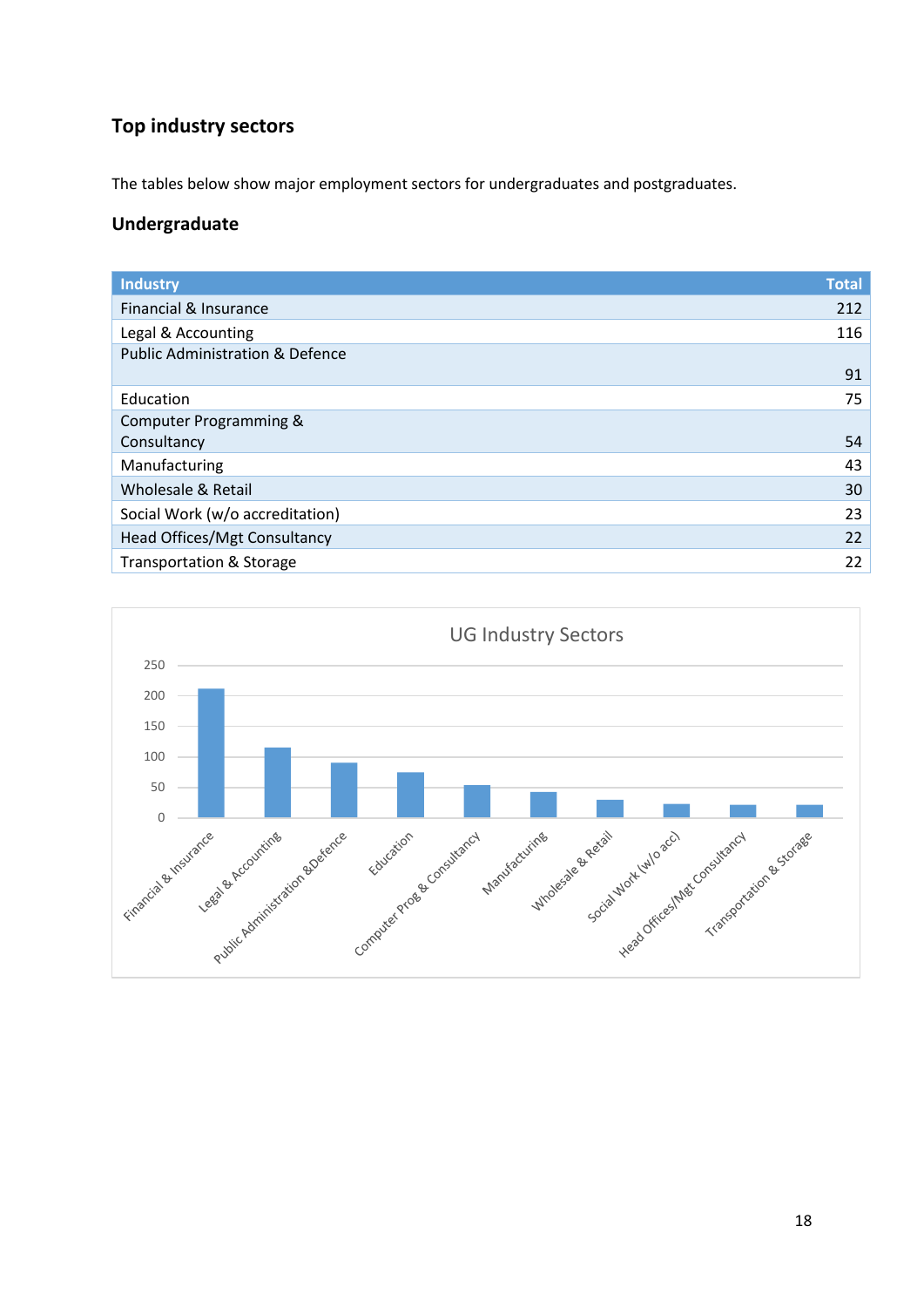# **Top industry sectors**

The tables below show major employment sectors for undergraduates and postgraduates.

### **Undergraduate**

| <b>Industry</b>                            | <b>Total</b> |
|--------------------------------------------|--------------|
| Financial & Insurance                      | 212          |
| Legal & Accounting                         | 116          |
| <b>Public Administration &amp; Defence</b> |              |
|                                            | 91           |
| Education                                  | 75           |
| Computer Programming &                     |              |
| Consultancy                                | 54           |
| Manufacturing                              | 43           |
| Wholesale & Retail                         | 30           |
| Social Work (w/o accreditation)            | 23           |
| Head Offices/Mgt Consultancy               | 22           |
| <b>Transportation &amp; Storage</b>        | 22           |
|                                            |              |

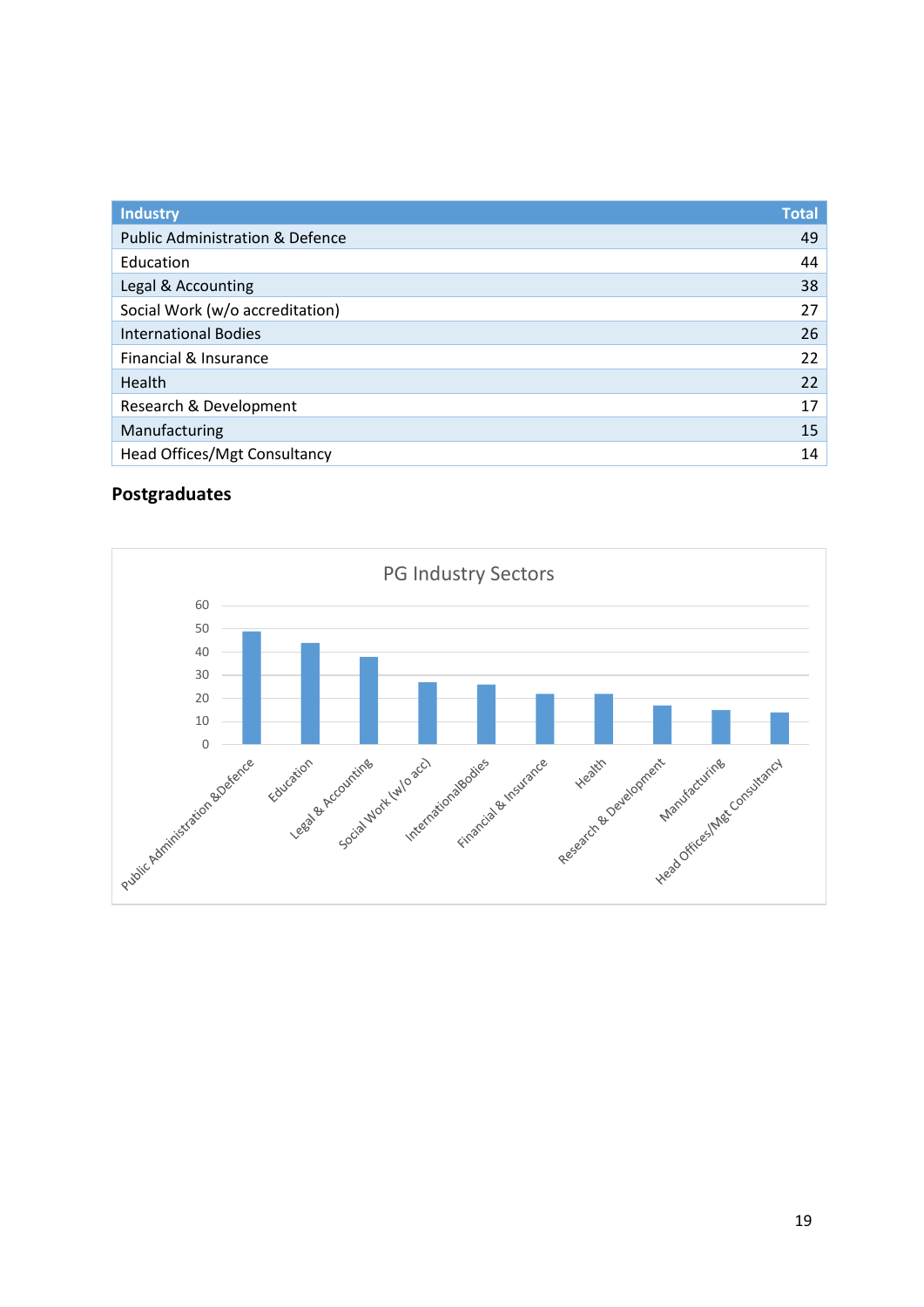| <b>Industry</b>                            | <b>Total</b> |
|--------------------------------------------|--------------|
| <b>Public Administration &amp; Defence</b> | 49           |
| Education                                  | 44           |
| Legal & Accounting                         | 38           |
| Social Work (w/o accreditation)            | 27           |
| <b>International Bodies</b>                | 26           |
| Financial & Insurance                      | 22           |
| Health                                     | 22           |
| Research & Development                     | 17           |
| Manufacturing                              | 15           |
| Head Offices/Mgt Consultancy               | 14           |

# **Postgraduates**

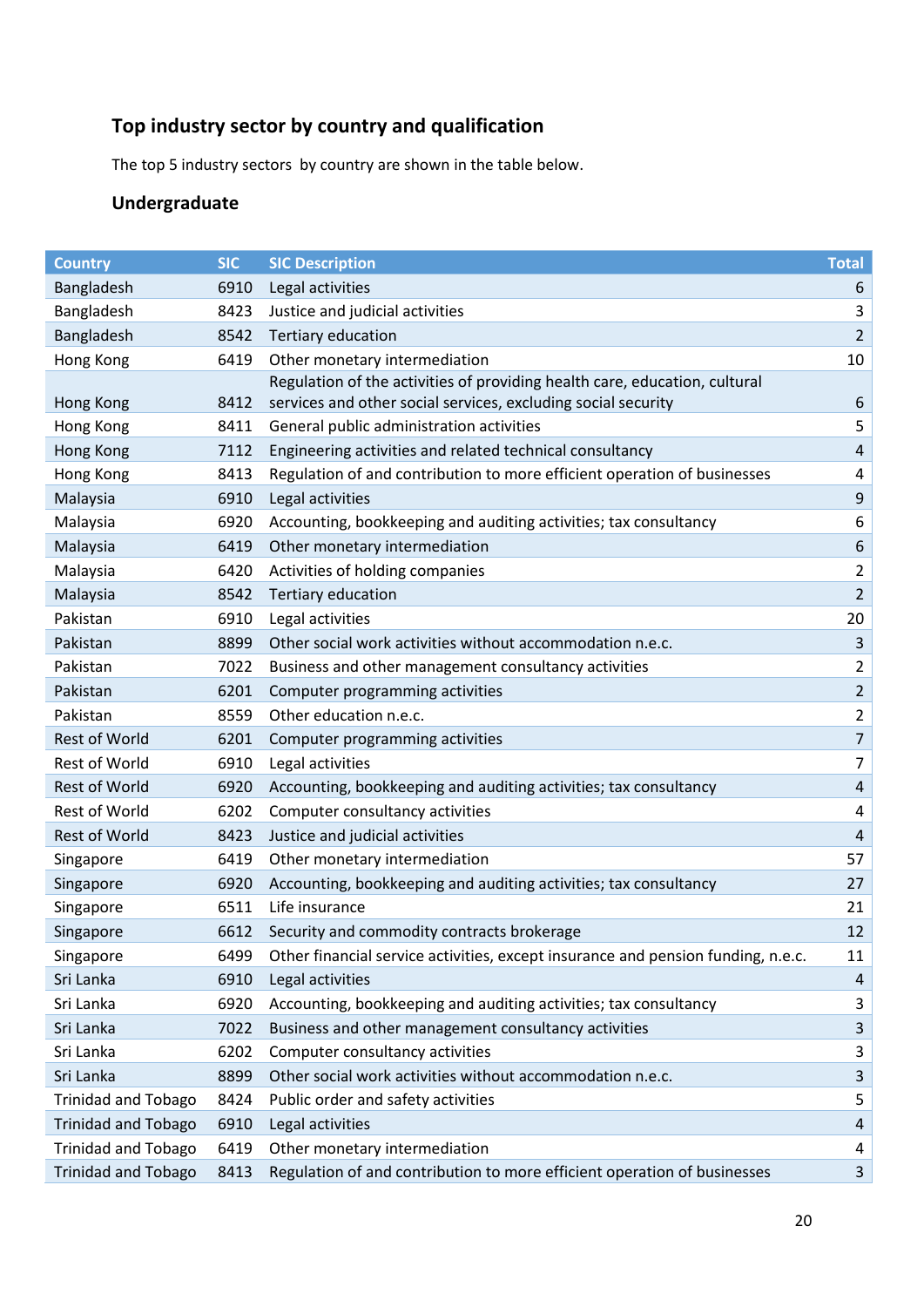# **Top industry sector by country and qualification**

The top 5 industry sectors by country are shown in the table below.

# **Undergraduate**

| <b>Country</b>             | <b>SIC</b> | <b>SIC Description</b>                                                           | <b>Total</b>   |
|----------------------------|------------|----------------------------------------------------------------------------------|----------------|
| Bangladesh                 | 6910       | Legal activities                                                                 | 6              |
| Bangladesh                 | 8423       | Justice and judicial activities                                                  | 3              |
| Bangladesh                 | 8542       | <b>Tertiary education</b>                                                        | $\overline{2}$ |
| Hong Kong                  | 6419       | Other monetary intermediation                                                    | 10             |
|                            |            | Regulation of the activities of providing health care, education, cultural       |                |
| Hong Kong                  | 8412       | services and other social services, excluding social security                    | 6              |
| Hong Kong                  | 8411       | General public administration activities                                         | 5              |
| Hong Kong                  | 7112       | Engineering activities and related technical consultancy                         | $\overline{a}$ |
| Hong Kong                  | 8413       | Regulation of and contribution to more efficient operation of businesses         | $\overline{4}$ |
| Malaysia                   | 6910       | Legal activities                                                                 | 9              |
| Malaysia                   | 6920       | Accounting, bookkeeping and auditing activities; tax consultancy                 | 6              |
| Malaysia                   | 6419       | Other monetary intermediation                                                    | 6              |
| Malaysia                   | 6420       | Activities of holding companies                                                  | $\overline{2}$ |
| Malaysia                   | 8542       | Tertiary education                                                               | $\overline{2}$ |
| Pakistan                   | 6910       | Legal activities                                                                 | 20             |
| Pakistan                   | 8899       | Other social work activities without accommodation n.e.c.                        | $\mathbf{3}$   |
| Pakistan                   | 7022       | Business and other management consultancy activities                             | $\overline{2}$ |
| Pakistan                   | 6201       | Computer programming activities                                                  | $\overline{2}$ |
| Pakistan                   | 8559       | Other education n.e.c.                                                           | $\overline{2}$ |
| <b>Rest of World</b>       | 6201       | Computer programming activities                                                  | $\overline{7}$ |
| <b>Rest of World</b>       | 6910       | Legal activities                                                                 | $\overline{7}$ |
| <b>Rest of World</b>       | 6920       | Accounting, bookkeeping and auditing activities; tax consultancy                 | $\overline{a}$ |
| <b>Rest of World</b>       | 6202       | Computer consultancy activities                                                  | $\overline{4}$ |
| <b>Rest of World</b>       | 8423       | Justice and judicial activities                                                  | $\overline{4}$ |
| Singapore                  | 6419       | Other monetary intermediation                                                    | 57             |
| Singapore                  | 6920       | Accounting, bookkeeping and auditing activities; tax consultancy                 | 27             |
| Singapore                  | 6511       | Life insurance                                                                   | 21             |
| Singapore                  | 6612       | Security and commodity contracts brokerage                                       | 12             |
| Singapore                  | 6499       | Other financial service activities, except insurance and pension funding, n.e.c. | 11             |
| Sri Lanka                  | 6910       | Legal activities                                                                 | 4              |
| Sri Lanka                  | 6920       | Accounting, bookkeeping and auditing activities; tax consultancy                 | 3              |
| Sri Lanka                  | 7022       | Business and other management consultancy activities                             | 3              |
| Sri Lanka                  | 6202       | Computer consultancy activities                                                  | 3              |
| Sri Lanka                  | 8899       | Other social work activities without accommodation n.e.c.                        | $\mathbf{3}$   |
| <b>Trinidad and Tobago</b> | 8424       | Public order and safety activities                                               | 5              |
| <b>Trinidad and Tobago</b> | 6910       | Legal activities                                                                 | 4              |
| <b>Trinidad and Tobago</b> | 6419       | Other monetary intermediation                                                    | 4              |
| <b>Trinidad and Tobago</b> | 8413       | Regulation of and contribution to more efficient operation of businesses         | 3              |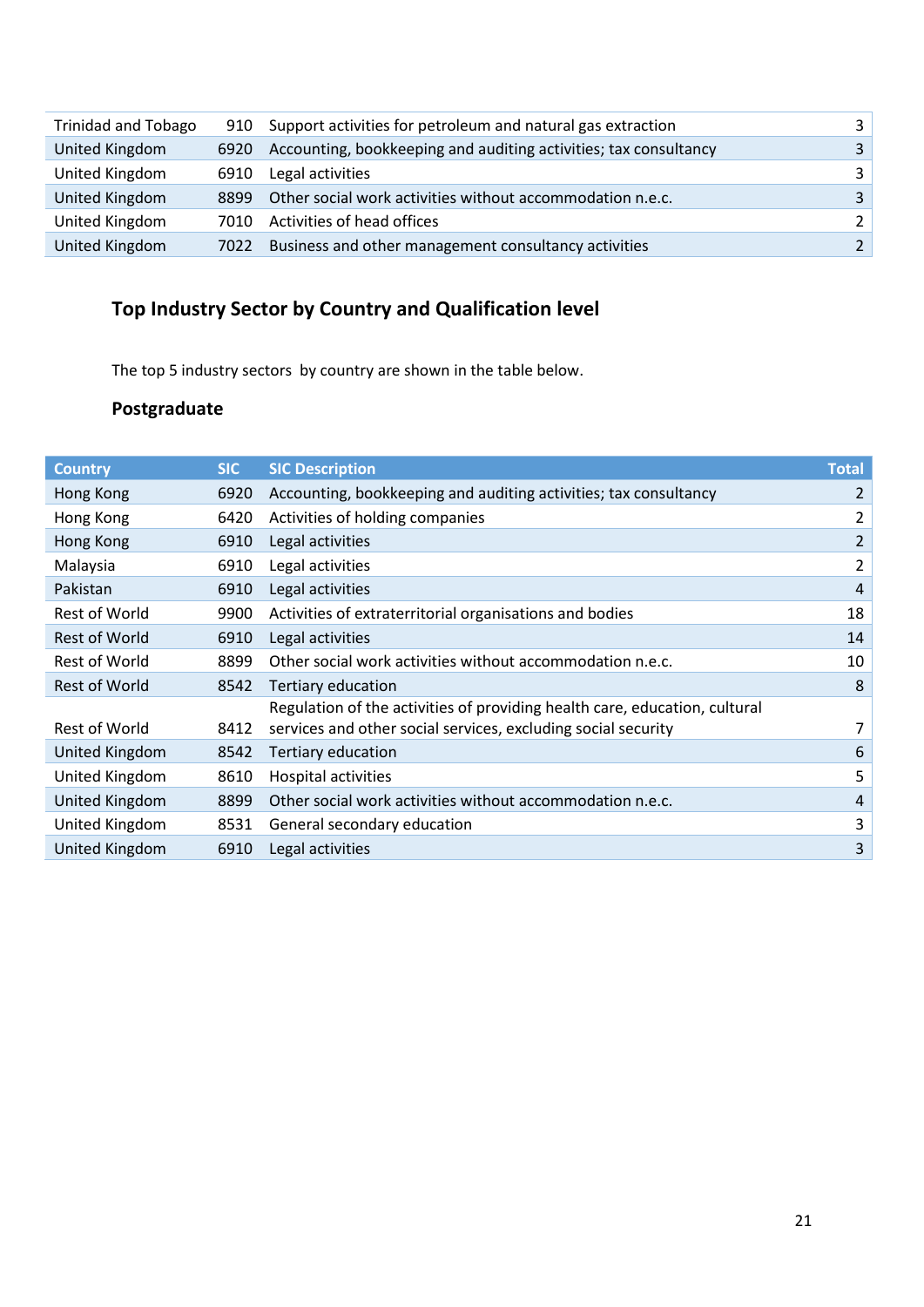| <b>Trinidad and Tobago</b> |      | 910 Support activities for petroleum and natural gas extraction  | २             |
|----------------------------|------|------------------------------------------------------------------|---------------|
| United Kingdom             | 6920 | Accounting, bookkeeping and auditing activities; tax consultancy | 3             |
| United Kingdom             | 6910 | Legal activities                                                 | 3             |
| United Kingdom             | 8899 | Other social work activities without accommodation n.e.c.        | $\mathbf{R}$  |
| United Kingdom             | 7010 | Activities of head offices                                       | 2             |
| United Kingdom             | 7022 | Business and other management consultancy activities             | $\mathcal{L}$ |

# **Top Industry Sector by Country and Qualification level**

The top 5 industry sectors by country are shown in the table below.

# **Postgraduate**

| <b>Country</b>        | <b>SIC</b> | <b>SIC Description</b>                                                                                                                      | <b>Total</b>   |
|-----------------------|------------|---------------------------------------------------------------------------------------------------------------------------------------------|----------------|
| Hong Kong             | 6920       | Accounting, bookkeeping and auditing activities; tax consultancy                                                                            | 2              |
| Hong Kong             | 6420       | Activities of holding companies                                                                                                             | 2              |
| Hong Kong             | 6910       | Legal activities                                                                                                                            | $\overline{2}$ |
| Malaysia              | 6910       | Legal activities                                                                                                                            | 2              |
| Pakistan              | 6910       | Legal activities                                                                                                                            | $\overline{4}$ |
| Rest of World         | 9900       | Activities of extraterritorial organisations and bodies                                                                                     | 18             |
| <b>Rest of World</b>  | 6910       | Legal activities                                                                                                                            | 14             |
| Rest of World         | 8899       | Other social work activities without accommodation n.e.c.                                                                                   | 10             |
| <b>Rest of World</b>  | 8542       | Tertiary education                                                                                                                          | 8              |
| Rest of World         | 8412       | Regulation of the activities of providing health care, education, cultural<br>services and other social services, excluding social security | 7              |
| <b>United Kingdom</b> | 8542       | Tertiary education                                                                                                                          | 6              |
| United Kingdom        | 8610       | Hospital activities                                                                                                                         | 5              |
| United Kingdom        | 8899       | Other social work activities without accommodation n.e.c.                                                                                   | 4              |
| United Kingdom        | 8531       | General secondary education                                                                                                                 | 3              |
| United Kingdom        | 6910       | Legal activities                                                                                                                            | 3              |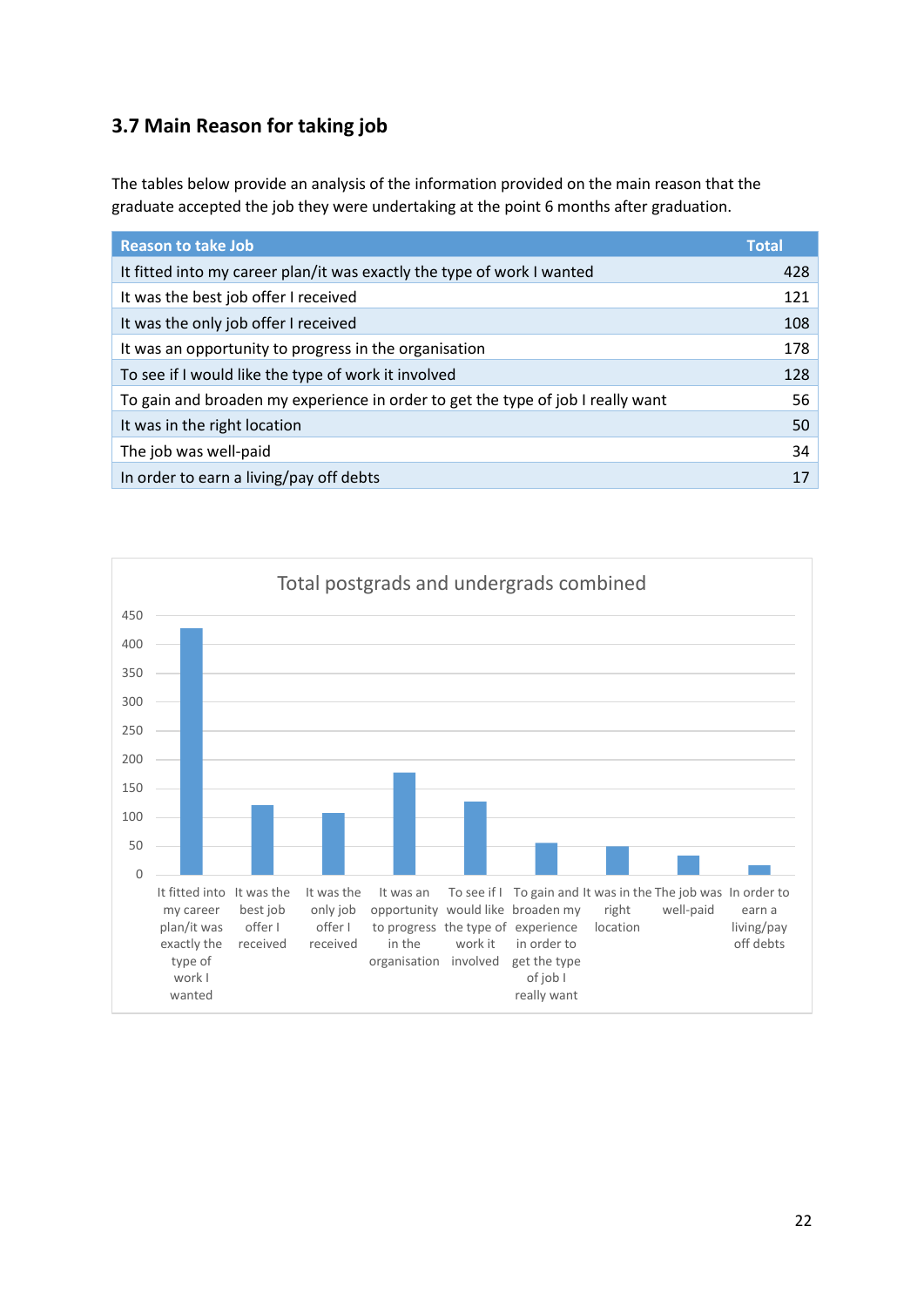## **3.7 Main Reason for taking job**

The tables below provide an analysis of the information provided on the main reason that the graduate accepted the job they were undertaking at the point 6 months after graduation.

| <b>Reason to take Job</b>                                                       | <b>Total</b> |
|---------------------------------------------------------------------------------|--------------|
| It fitted into my career plan/it was exactly the type of work I wanted          | 428          |
| It was the best job offer I received                                            | 121          |
| It was the only job offer I received                                            | 108          |
| It was an opportunity to progress in the organisation                           | 178          |
| To see if I would like the type of work it involved                             | 128          |
| To gain and broaden my experience in order to get the type of job I really want | 56           |
| It was in the right location                                                    | 50           |
| The job was well-paid                                                           | 34           |
| In order to earn a living/pay off debts                                         | 17           |

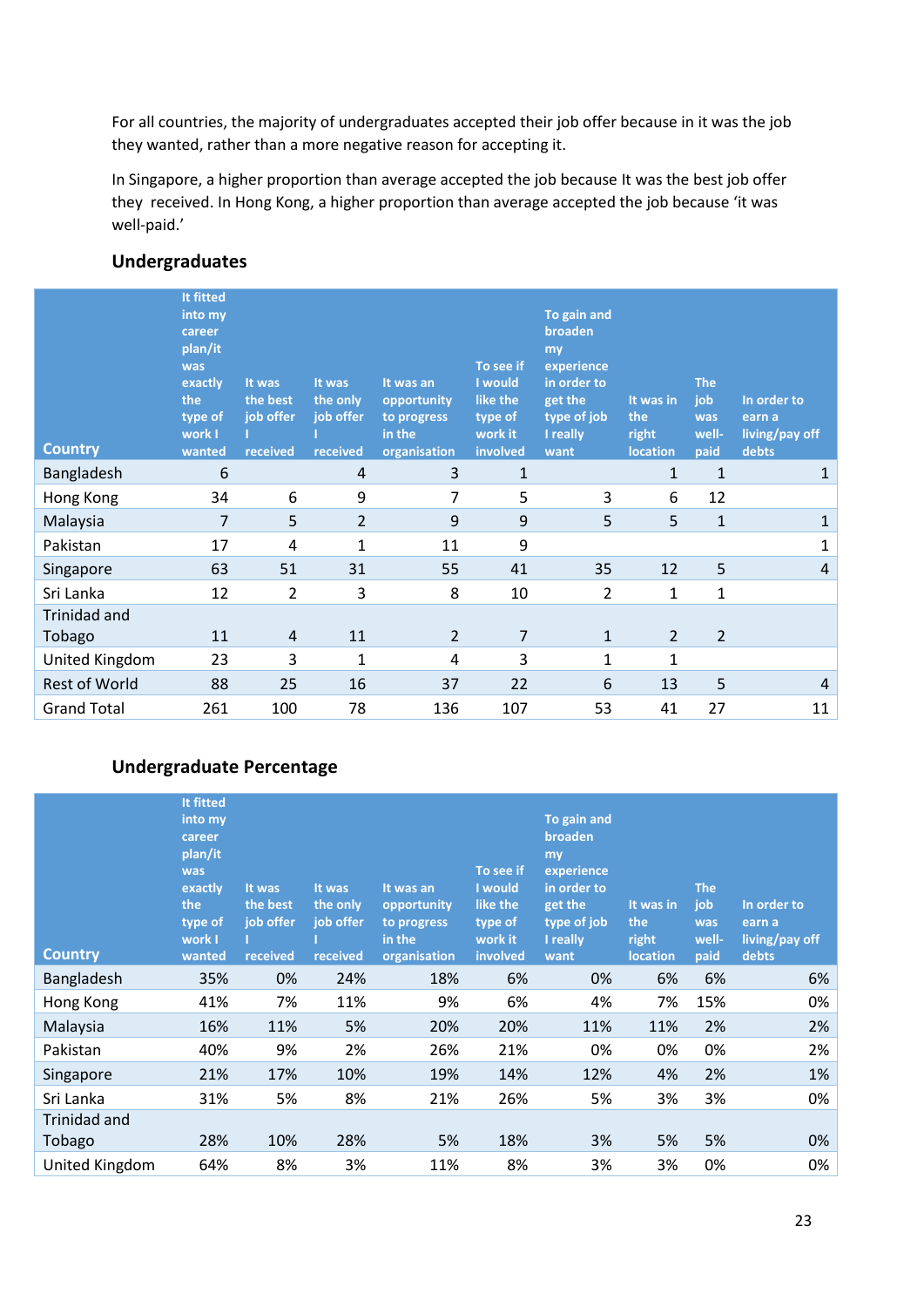For all countries, the majority of undergraduates accepted their job offer because in it was the job they wanted, rather than a more negative reason for accepting it.

In Singapore, a higher proportion than average accepted the job because It was the best job offer they received. In Hong Kong, a higher proportion than average accepted the job because 'it was well-paid.'

#### **Undergraduates**

| <b>Country</b>       | It fitted<br>into my<br>career<br>plan/it<br>was<br>exactly<br>the<br>type of<br>work I<br>wanted | It was<br>the best<br>job offer<br>received | It was<br>the only<br>job offer<br>received | It was an<br>opportunity<br>to progress<br>in the<br>organisation | To see if<br>I would<br>like the<br>type of<br>work it<br>involved | To gain and<br>broaden<br>my<br>experience<br>in order to<br>get the<br>type of job<br>I really<br>want | It was in<br>the<br>right<br><b>location</b> | <b>The</b><br>job<br>was<br>well-<br>paid | In order to<br>earn a<br>living/pay off<br>debts |
|----------------------|---------------------------------------------------------------------------------------------------|---------------------------------------------|---------------------------------------------|-------------------------------------------------------------------|--------------------------------------------------------------------|---------------------------------------------------------------------------------------------------------|----------------------------------------------|-------------------------------------------|--------------------------------------------------|
| Bangladesh           | 6                                                                                                 |                                             | 4                                           | 3                                                                 | $\mathbf{1}$                                                       |                                                                                                         | $\mathbf{1}$                                 | $\mathbf{1}$                              | 1                                                |
| Hong Kong            | 34                                                                                                | 6                                           | 9                                           | 7                                                                 | 5                                                                  | 3                                                                                                       | 6                                            | 12                                        |                                                  |
| Malaysia             | 7                                                                                                 | 5                                           | $\overline{2}$                              | 9                                                                 | 9                                                                  | 5                                                                                                       | 5                                            | $\mathbf{1}$                              | 1                                                |
| Pakistan             | 17                                                                                                | 4                                           | $\mathbf{1}$                                | 11                                                                | 9                                                                  |                                                                                                         |                                              |                                           | 1                                                |
| Singapore            | 63                                                                                                | 51                                          | 31                                          | 55                                                                | 41                                                                 | 35                                                                                                      | 12                                           | 5                                         | 4                                                |
| Sri Lanka            | 12                                                                                                | 2                                           | 3                                           | 8                                                                 | 10                                                                 | 2                                                                                                       | 1                                            | 1                                         |                                                  |
| <b>Trinidad and</b>  |                                                                                                   |                                             |                                             |                                                                   |                                                                    |                                                                                                         |                                              |                                           |                                                  |
| Tobago               | 11                                                                                                | 4                                           | 11                                          | $\overline{2}$                                                    | $\overline{7}$                                                     | $\mathbf{1}$                                                                                            | $\overline{2}$                               | $\overline{2}$                            |                                                  |
| United Kingdom       | 23                                                                                                | 3                                           | 1                                           | 4                                                                 | 3                                                                  | 1                                                                                                       | 1                                            |                                           |                                                  |
| <b>Rest of World</b> | 88                                                                                                | 25                                          | 16                                          | 37                                                                | 22                                                                 | 6                                                                                                       | 13                                           | 5                                         | 4                                                |
| <b>Grand Total</b>   | 261                                                                                               | 100                                         | 78                                          | 136                                                               | 107                                                                | 53                                                                                                      | 41                                           | 27                                        | 11                                               |

### **Undergraduate Percentage**

| <b>Country</b> | It fitted<br>into my<br>career<br>plan/it<br>was<br>exactly<br>the<br>type of<br>work I<br>wanted | It was<br>the best<br>job offer<br>received | It was<br>the only<br>job offer<br>received | It was an<br>opportunity<br>to progress<br>in the<br>organisation | To see if<br>I would<br>like the<br>type of<br>work it<br>involved | To gain and<br>broaden<br>my<br>experience<br>in order to<br>get the<br>type of job<br>I really<br>want | It was in<br>the<br>right<br><b>location</b> | <b>The</b><br>job<br>was<br>well-<br>paid | In order to<br>earn a<br>living/pay off<br>debts |
|----------------|---------------------------------------------------------------------------------------------------|---------------------------------------------|---------------------------------------------|-------------------------------------------------------------------|--------------------------------------------------------------------|---------------------------------------------------------------------------------------------------------|----------------------------------------------|-------------------------------------------|--------------------------------------------------|
| Bangladesh     | 35%                                                                                               | 0%                                          | 24%                                         | 18%                                                               | 6%                                                                 | 0%                                                                                                      | 6%                                           | 6%                                        | 6%                                               |
| Hong Kong      | 41%                                                                                               | 7%                                          | 11%                                         | 9%                                                                | 6%                                                                 | 4%                                                                                                      | 7%                                           | 15%                                       | 0%                                               |
| Malaysia       | 16%                                                                                               | 11%                                         | 5%                                          | 20%                                                               | 20%                                                                | 11%                                                                                                     | 11%                                          | 2%                                        | 2%                                               |
| Pakistan       | 40%                                                                                               | 9%                                          | 2%                                          | 26%                                                               | 21%                                                                | 0%                                                                                                      | 0%                                           | 0%                                        | 2%                                               |
| Singapore      | 21%                                                                                               | 17%                                         | 10%                                         | 19%                                                               | 14%                                                                | 12%                                                                                                     | 4%                                           | 2%                                        | 1%                                               |
| Sri Lanka      | 31%                                                                                               | 5%                                          | 8%                                          | 21%                                                               | 26%                                                                | 5%                                                                                                      | 3%                                           | 3%                                        | 0%                                               |
| Trinidad and   |                                                                                                   |                                             |                                             |                                                                   |                                                                    |                                                                                                         |                                              |                                           |                                                  |
| Tobago         | 28%                                                                                               | 10%                                         | 28%                                         | 5%                                                                | 18%                                                                | 3%                                                                                                      | 5%                                           | 5%                                        | 0%                                               |
| United Kingdom | 64%                                                                                               | 8%                                          | 3%                                          | 11%                                                               | 8%                                                                 | 3%                                                                                                      | 3%                                           | 0%                                        | 0%                                               |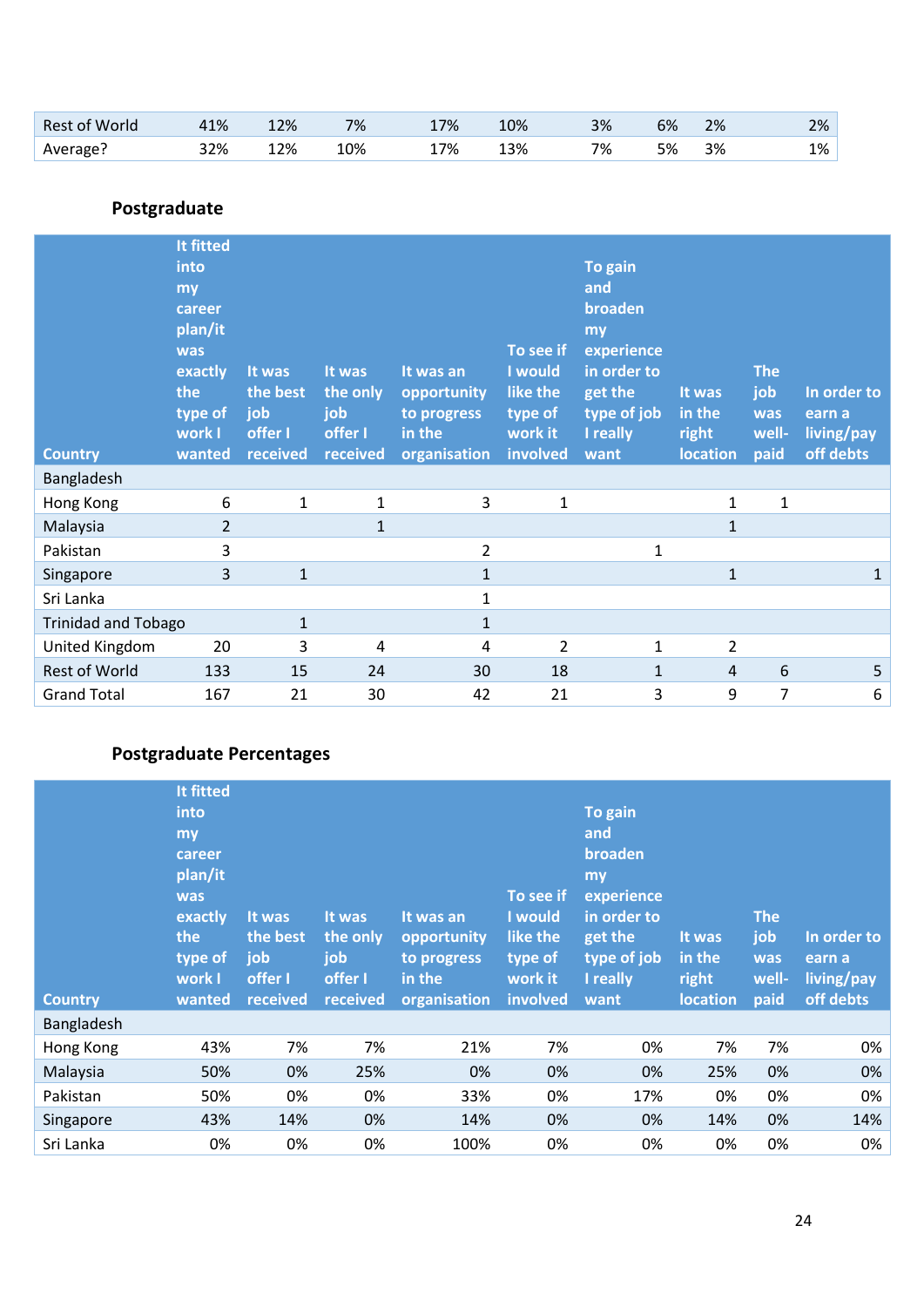| <b>Rest of World</b> | .1% | 12% | 7%  | 7%  | 10% | 3% | 6% | 2% | 2% |
|----------------------|-----|-----|-----|-----|-----|----|----|----|----|
| Average?             | 32% | 12% | 10% | 17% | 13% | 7% | 5% | 3% | 1% |

# **Postgraduate**

|                            | It fitted<br>into<br>my<br>career<br>plan/it<br>was<br>exactly<br>the<br>type of<br>work I | It was<br>the best<br>job<br>offer I | It was<br>the only<br>job<br>offer I | It was an<br>opportunity<br>to progress<br>in the | To see if<br>I would<br>like the<br>type of<br>work it | To gain<br>and<br>broaden<br>my<br>experience<br>in order to<br>get the<br>type of job<br>I really | It was<br>in the<br>right | <b>The</b><br>job<br>was<br>well- | In order to<br>earn a<br>living/pay |
|----------------------------|--------------------------------------------------------------------------------------------|--------------------------------------|--------------------------------------|---------------------------------------------------|--------------------------------------------------------|----------------------------------------------------------------------------------------------------|---------------------------|-----------------------------------|-------------------------------------|
| <b>Country</b>             | wanted                                                                                     | received                             | received                             | organisation                                      | involved                                               | want                                                                                               | <b>location</b>           | paid                              | off debts                           |
| Bangladesh                 |                                                                                            |                                      |                                      |                                                   |                                                        |                                                                                                    |                           |                                   |                                     |
| Hong Kong                  | 6                                                                                          | $\mathbf{1}$                         | $\mathbf 1$                          | 3                                                 | $\mathbf{1}$                                           |                                                                                                    | 1                         | 1                                 |                                     |
| Malaysia                   | $\overline{2}$                                                                             |                                      | $\mathbf{1}$                         |                                                   |                                                        |                                                                                                    | $\mathbf{1}$              |                                   |                                     |
| Pakistan                   | 3                                                                                          |                                      |                                      | $\overline{2}$                                    |                                                        | 1                                                                                                  |                           |                                   |                                     |
| Singapore                  | 3                                                                                          | $\mathbf{1}$                         |                                      | $\mathbf{1}$                                      |                                                        |                                                                                                    | $\mathbf{1}$              |                                   | $\mathbf{1}$                        |
| Sri Lanka                  |                                                                                            |                                      |                                      | $\mathbf{1}$                                      |                                                        |                                                                                                    |                           |                                   |                                     |
| <b>Trinidad and Tobago</b> |                                                                                            | 1                                    |                                      | $\mathbf{1}$                                      |                                                        |                                                                                                    |                           |                                   |                                     |
| United Kingdom             | 20                                                                                         | 3                                    | 4                                    | 4                                                 | $\overline{2}$                                         | 1                                                                                                  | $\overline{2}$            |                                   |                                     |
| <b>Rest of World</b>       | 133                                                                                        | 15                                   | 24                                   | 30                                                | 18                                                     | $\mathbf{1}$                                                                                       | $\overline{4}$            | 6                                 | 5                                   |
| <b>Grand Total</b>         | 167                                                                                        | 21                                   | 30                                   | 42                                                | 21                                                     | 3                                                                                                  | 9                         | 7                                 | 6                                   |

# **Postgraduate Percentages**

| <b>Country</b> | It fitted<br>into<br>my<br>career<br>plan/it<br><b>was</b><br>exactly<br>the<br>type of<br>work I<br>wanted | It was<br>the best<br>job<br>offer I<br>received | It was<br>the only<br>job<br>offer I<br>received | It was an<br>opportunity<br>to progress<br>in the<br>organisation | To see if<br>I would<br>like the<br>type of<br>work it<br>involved | To gain<br>and<br>broaden<br>my<br>experience<br>in order to<br>get the<br>type of job<br>I really<br>want | It was<br>in the<br>right<br><b>location</b> | <b>The</b><br>job<br>was<br>well-<br>paid | In order to<br>earn a<br>living/pay<br>off debts |
|----------------|-------------------------------------------------------------------------------------------------------------|--------------------------------------------------|--------------------------------------------------|-------------------------------------------------------------------|--------------------------------------------------------------------|------------------------------------------------------------------------------------------------------------|----------------------------------------------|-------------------------------------------|--------------------------------------------------|
| Bangladesh     |                                                                                                             |                                                  |                                                  |                                                                   |                                                                    |                                                                                                            |                                              |                                           |                                                  |
| Hong Kong      | 43%                                                                                                         | 7%                                               | 7%                                               | 21%                                                               | 7%                                                                 | 0%                                                                                                         | 7%                                           | 7%                                        | 0%                                               |
| Malaysia       | 50%                                                                                                         | 0%                                               | 25%                                              | 0%                                                                | 0%                                                                 | 0%                                                                                                         | 25%                                          | 0%                                        | 0%                                               |
| Pakistan       | 50%                                                                                                         | 0%                                               | 0%                                               | 33%                                                               | 0%                                                                 | 17%                                                                                                        | 0%                                           | 0%                                        | 0%                                               |
| Singapore      | 43%                                                                                                         | 14%                                              | 0%                                               | 14%                                                               | 0%                                                                 | 0%                                                                                                         | 14%                                          | 0%                                        | 14%                                              |
| Sri Lanka      | 0%                                                                                                          | 0%                                               | 0%                                               | 100%                                                              | 0%                                                                 | 0%                                                                                                         | 0%                                           | 0%                                        | 0%                                               |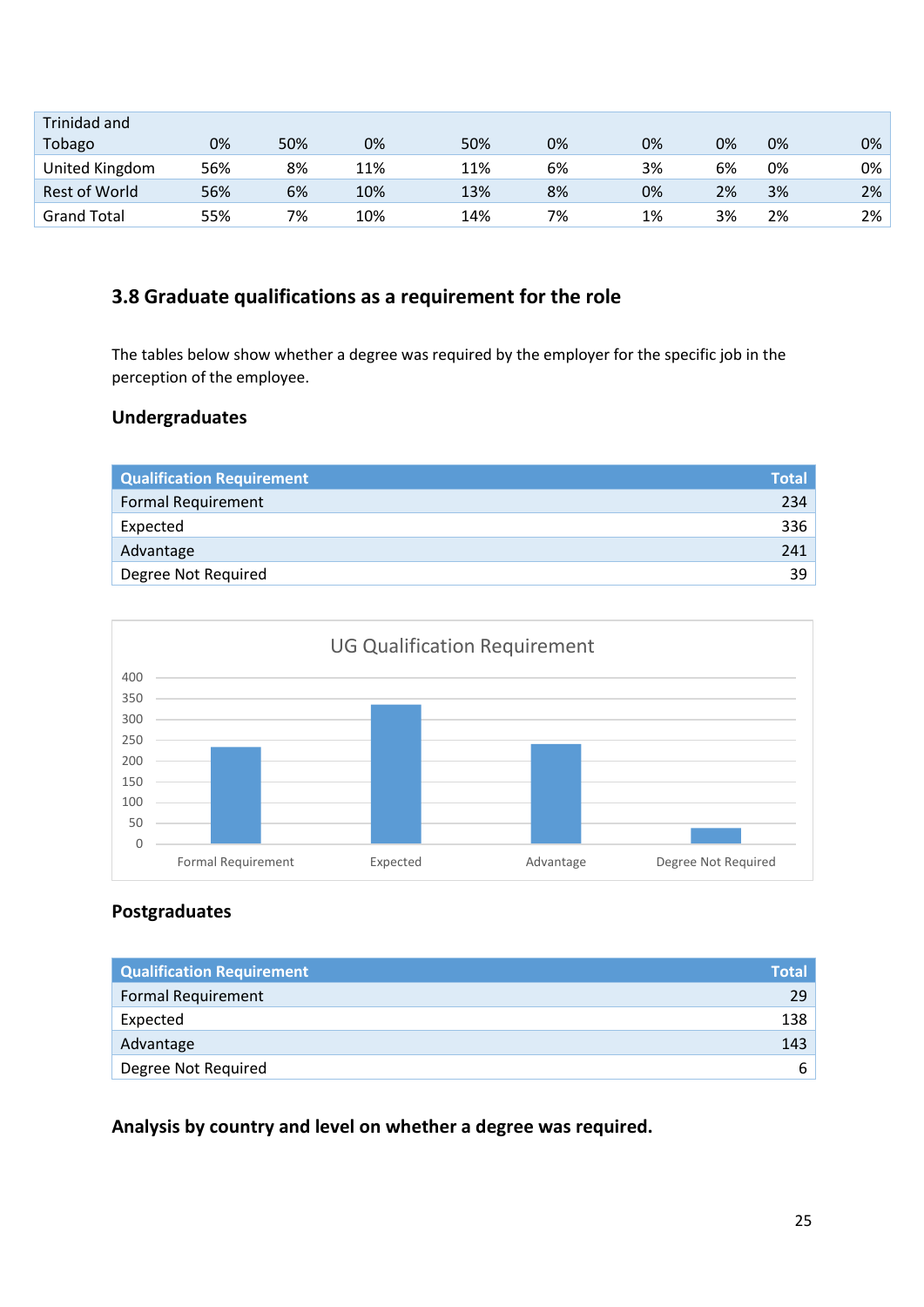| Trinidad and       |     |     |     |     |    |    |    |    |    |
|--------------------|-----|-----|-----|-----|----|----|----|----|----|
| Tobago             | 0%  | 50% | 0%  | 50% | 0% | 0% | 0% | 0% | 0% |
| United Kingdom     | 56% | 8%  | 11% | 11% | 6% | 3% | 6% | 0% | 0% |
| Rest of World      | 56% | 6%  | 10% | 13% | 8% | 0% | 2% | 3% | 2% |
| <b>Grand Total</b> | 55% | 7%  | 10% | 14% | 7% | 1% | 3% | 2% | 2% |

## **3.8 Graduate qualifications as a requirement for the role**

The tables below show whether a degree was required by the employer for the specific job in the perception of the employee.

#### **Undergraduates**

| <b>Qualification Requirement</b> | <b>Total</b> |
|----------------------------------|--------------|
| <b>Formal Requirement</b>        | 234          |
| Expected                         | 336          |
| Advantage                        | 241          |
| Degree Not Required              | 39           |



## **Postgraduates**

| <b>Qualification Requirement</b> | <b>Total</b> |
|----------------------------------|--------------|
| <b>Formal Requirement</b>        | 29           |
| Expected                         | 138          |
| Advantage                        | 143          |
| Degree Not Required              | ь            |

**Analysis by country and level on whether a degree was required.**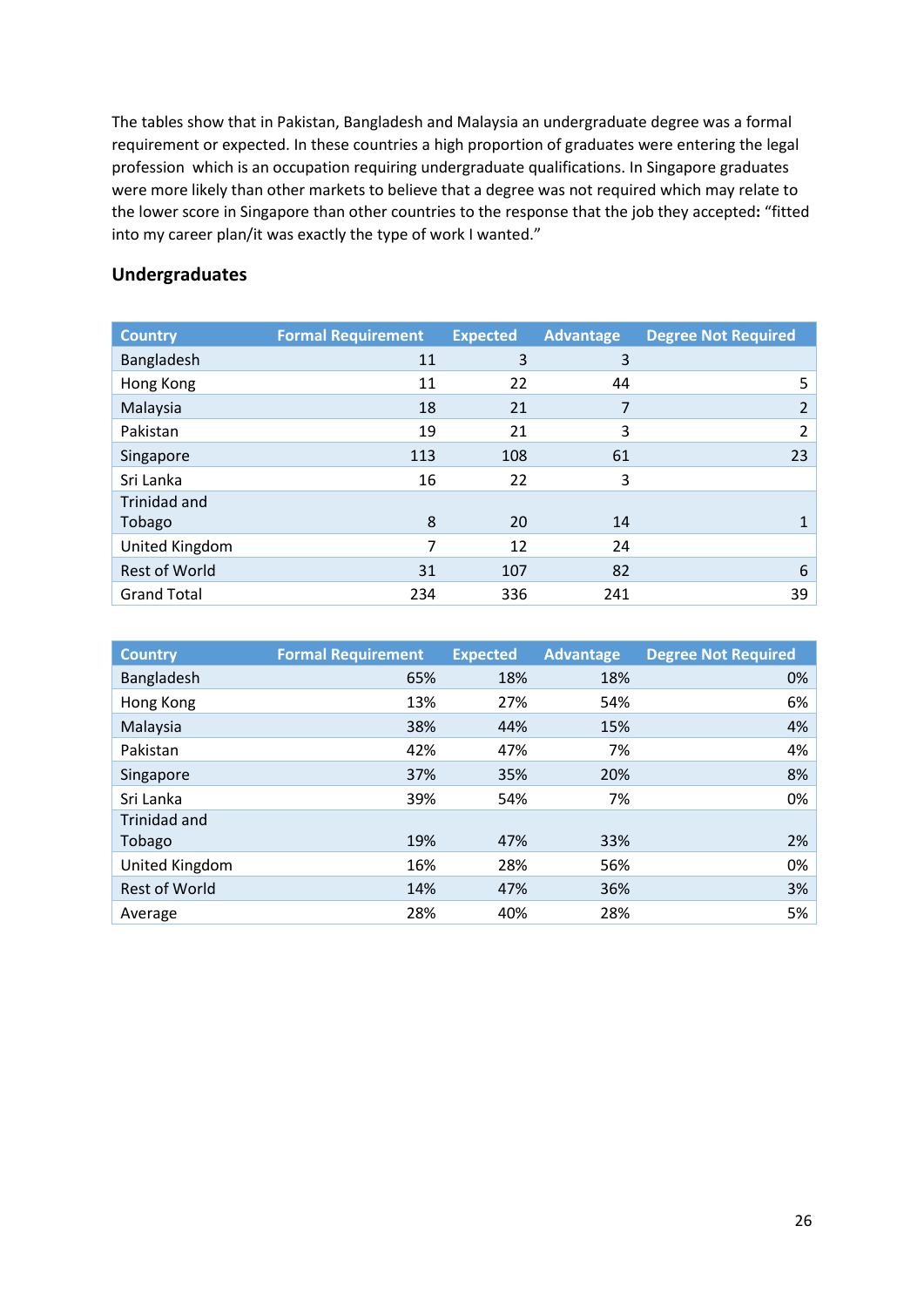The tables show that in Pakistan, Bangladesh and Malaysia an undergraduate degree was a formal requirement or expected. In these countries a high proportion of graduates were entering the legal profession which is an occupation requiring undergraduate qualifications. In Singapore graduates were more likely than other markets to believe that a degree was not required which may relate to the lower score in Singapore than other countries to the response that the job they accepted**:** "fitted into my career plan/it was exactly the type of work I wanted."

#### **Undergraduates**

| <b>Country</b>       | <b>Formal Requirement</b> | <b>Expected</b> | Advantage | <b>Degree Not Required</b> |
|----------------------|---------------------------|-----------------|-----------|----------------------------|
| Bangladesh           | 11                        | 3               | 3         |                            |
| Hong Kong            | 11                        | 22              | 44        | 5                          |
| Malaysia             | 18                        | 21              | 7         | 2                          |
| Pakistan             | 19                        | 21              | 3         | 2                          |
| Singapore            | 113                       | 108             | 61        | 23                         |
| Sri Lanka            | 16                        | 22              | 3         |                            |
| <b>Trinidad and</b>  |                           |                 |           |                            |
| Tobago               | 8                         | 20              | 14        |                            |
| United Kingdom       | 7                         | 12              | 24        |                            |
| <b>Rest of World</b> | 31                        | 107             | 82        | 6                          |
| <b>Grand Total</b>   | 234                       | 336             | 241       | 39                         |

| <b>Country</b>       | <b>Formal Requirement</b> | <b>Expected</b> | <b>Advantage</b> | <b>Degree Not Required</b> |
|----------------------|---------------------------|-----------------|------------------|----------------------------|
| Bangladesh           | 65%                       | 18%             | 18%              | 0%                         |
| Hong Kong            | 13%                       | 27%             | 54%              | 6%                         |
| Malaysia             | 38%                       | 44%             | 15%              | 4%                         |
| Pakistan             | 42%                       | 47%             | 7%               | 4%                         |
| Singapore            | 37%                       | 35%             | 20%              | 8%                         |
| Sri Lanka            | 39%                       | 54%             | 7%               | 0%                         |
| <b>Trinidad and</b>  |                           |                 |                  |                            |
| Tobago               | 19%                       | 47%             | 33%              | 2%                         |
| United Kingdom       | 16%                       | 28%             | 56%              | 0%                         |
| <b>Rest of World</b> | 14%                       | 47%             | 36%              | 3%                         |
| Average              | 28%                       | 40%             | 28%              | 5%                         |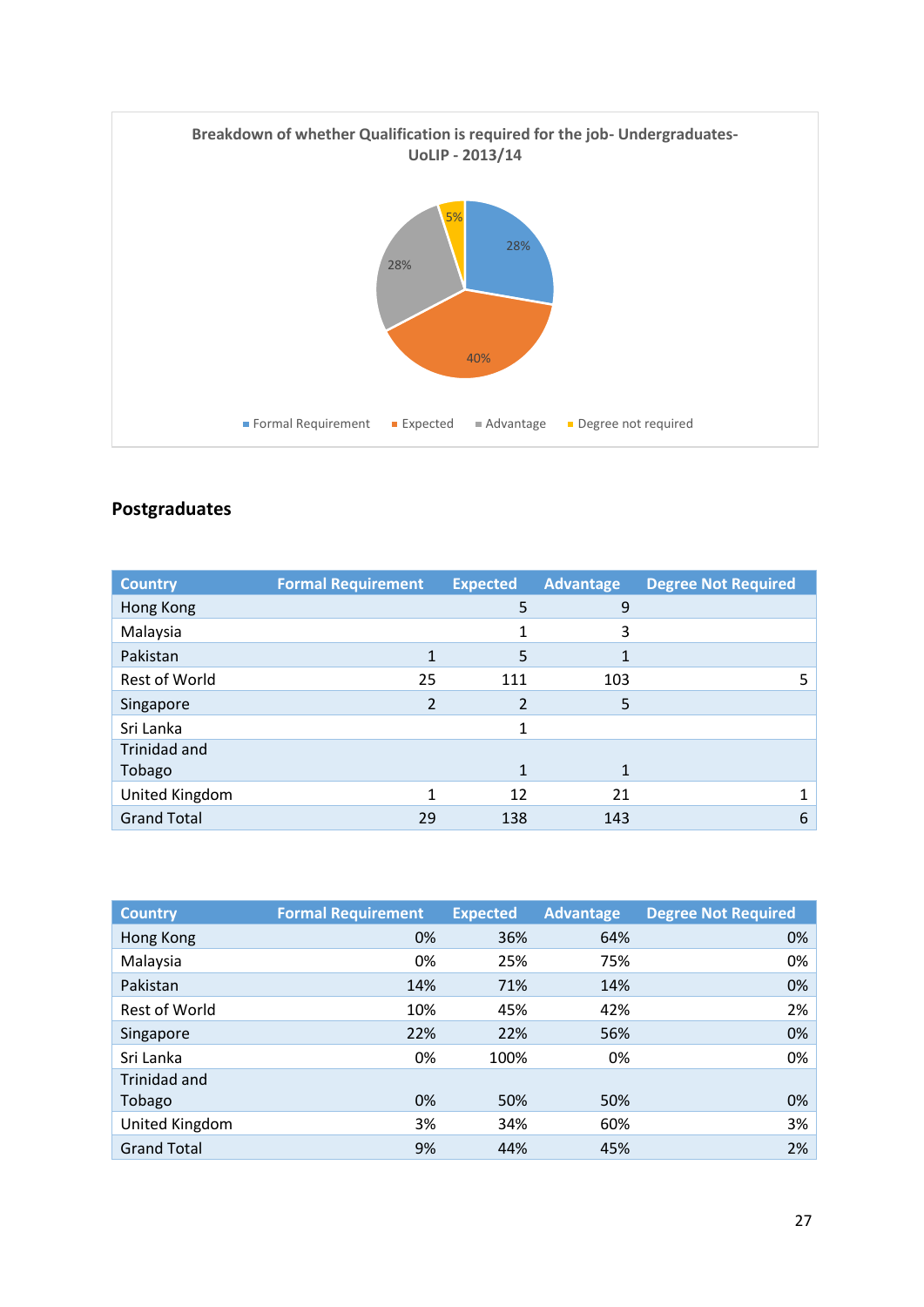

# **Postgraduates**

| <b>Country</b>     | <b>Formal Requirement</b> | <b>Expected</b> | <b>Advantage</b> | <b>Degree Not Required</b> |
|--------------------|---------------------------|-----------------|------------------|----------------------------|
| Hong Kong          |                           | 5               | 9                |                            |
| Malaysia           |                           |                 | 3                |                            |
| Pakistan           |                           | 5               |                  |                            |
| Rest of World      | 25                        | 111             | 103              | 5.                         |
| Singapore          | 2                         |                 | 5                |                            |
| Sri Lanka          |                           | 1               |                  |                            |
| Trinidad and       |                           |                 |                  |                            |
| Tobago             |                           | 1               | 1                |                            |
| United Kingdom     |                           | 12              | 21               |                            |
| <b>Grand Total</b> | 29                        | 138             | 143              | 6                          |

| <b>Country</b>       | <b>Formal Requirement</b> | <b>Expected</b> | <b>Advantage</b> | <b>Degree Not Required</b> |
|----------------------|---------------------------|-----------------|------------------|----------------------------|
| Hong Kong            | 0%                        | 36%             | 64%              | 0%                         |
| Malaysia             | 0%                        | 25%             | 75%              | 0%                         |
| Pakistan             | 14%                       | 71%             | 14%              | 0%                         |
| <b>Rest of World</b> | 10%                       | 45%             | 42%              | 2%                         |
| Singapore            | 22%                       | 22%             | 56%              | 0%                         |
| Sri Lanka            | 0%                        | 100%            | 0%               | 0%                         |
| Trinidad and         |                           |                 |                  |                            |
| Tobago               | 0%                        | 50%             | 50%              | 0%                         |
| United Kingdom       | 3%                        | 34%             | 60%              | 3%                         |
| <b>Grand Total</b>   | 9%                        | 44%             | 45%              | 2%                         |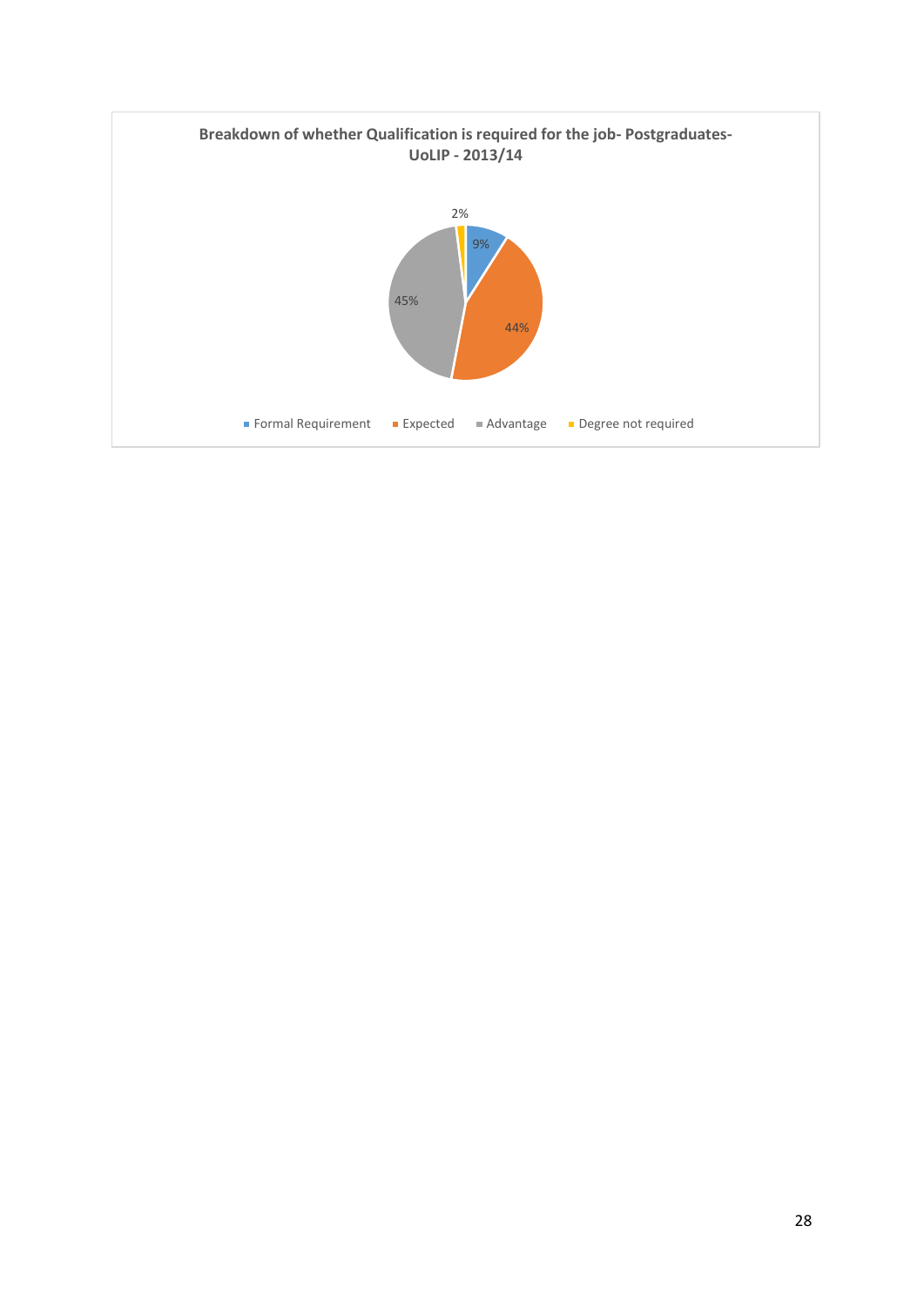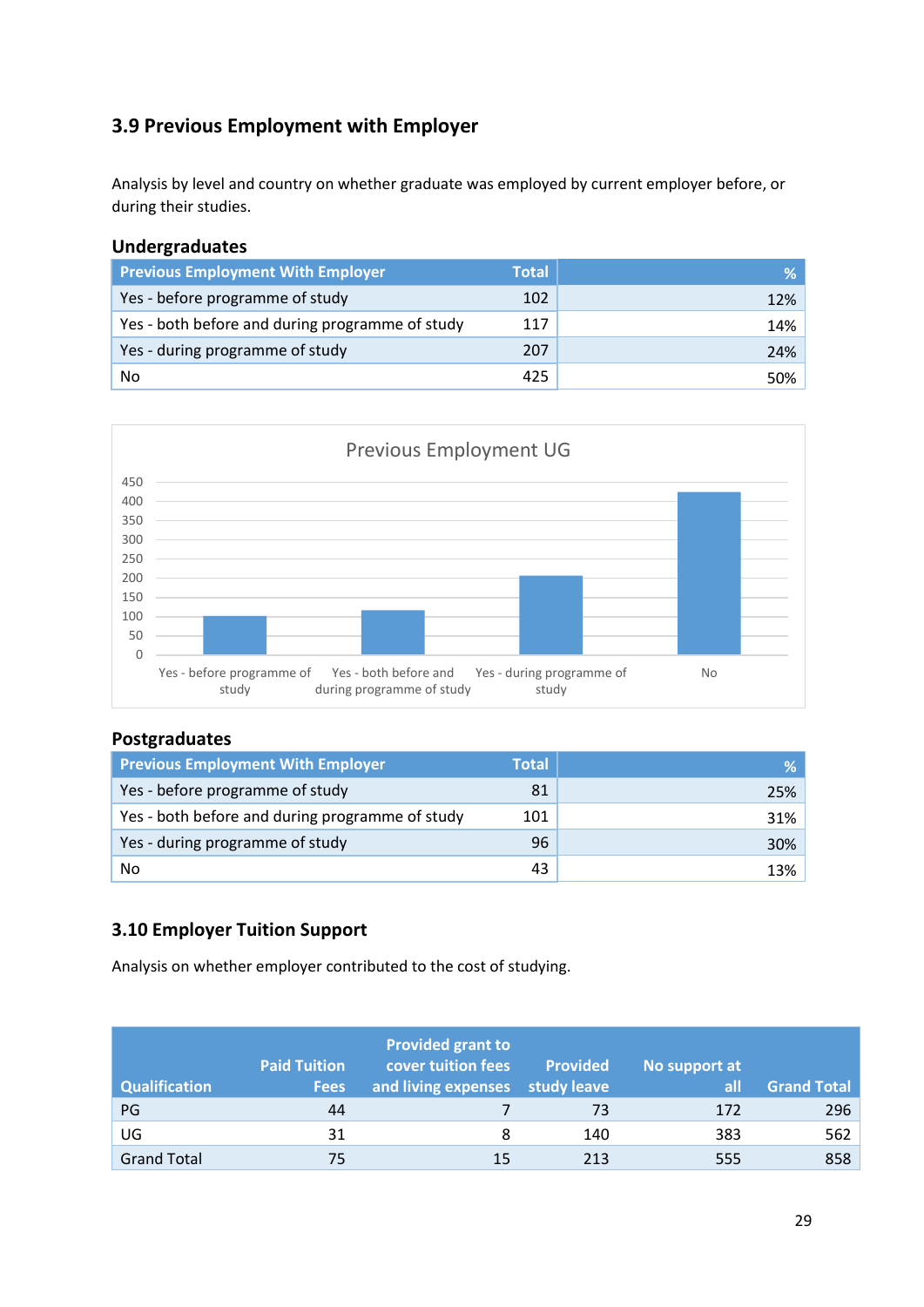# **3.9 Previous Employment with Employer**

Analysis by level and country on whether graduate was employed by current employer before, or during their studies.

#### **Undergraduates**

| <b>Previous Employment With Employer</b>        | <b>Total</b> | % ∣    |
|-------------------------------------------------|--------------|--------|
| Yes - before programme of study                 | 102          | $12\%$ |
| Yes - both before and during programme of study | 117          | 14%    |
| Yes - during programme of study                 | 207          | 24%    |
| No                                              | 425          | $50\%$ |



#### **Postgraduates**

| <b>Previous Employment With Employer</b>        | <b>Total</b> | ℅   |
|-------------------------------------------------|--------------|-----|
| Yes - before programme of study                 | 81           | 25% |
| Yes - both before and during programme of study | 101          | 31% |
| Yes - during programme of study                 | 96           | 30% |
| No                                              | 43           | 13% |

### **3.10 Employer Tuition Support**

Analysis on whether employer contributed to the cost of studying.

| <b>Qualification</b> | <b>Paid Tuition</b><br><b>Fees</b> | <b>Provided grant to</b><br>cover tuition fees<br>and living expenses | <b>Provided</b><br>study leave | No support at<br>all | <b>Grand Total</b> |
|----------------------|------------------------------------|-----------------------------------------------------------------------|--------------------------------|----------------------|--------------------|
| PG                   | 44                                 |                                                                       | 73                             | 172                  | 296                |
| UG                   | 31                                 | 8                                                                     | 140                            | 383                  | 562                |
| <b>Grand Total</b>   | 75                                 | 15                                                                    | 213                            | 555                  | 858                |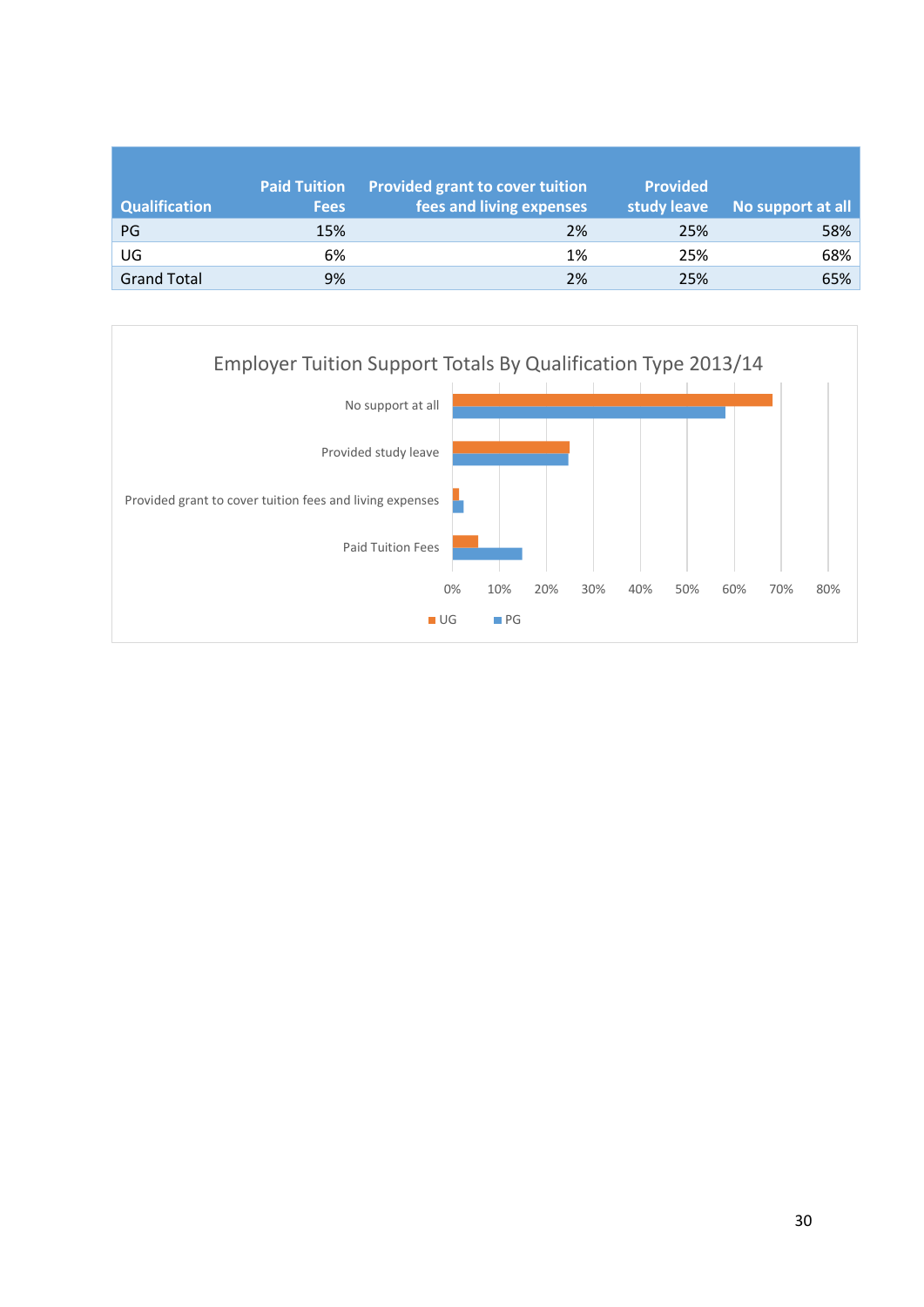|                      | <b>Paid Tuition</b> | Provided grant to cover tuition | <b>Provided</b> |                   |
|----------------------|---------------------|---------------------------------|-----------------|-------------------|
| <b>Qualification</b> | <b>Fees</b>         | fees and living expenses        | study leave     | No support at all |
| PG                   | 15%                 | 2%                              | 25%             | 58%               |
| UG                   | 6%                  | 1%                              | 25%             | 68%               |
| <b>Grand Total</b>   | 9%                  | 2%                              | 25%             | 65%               |

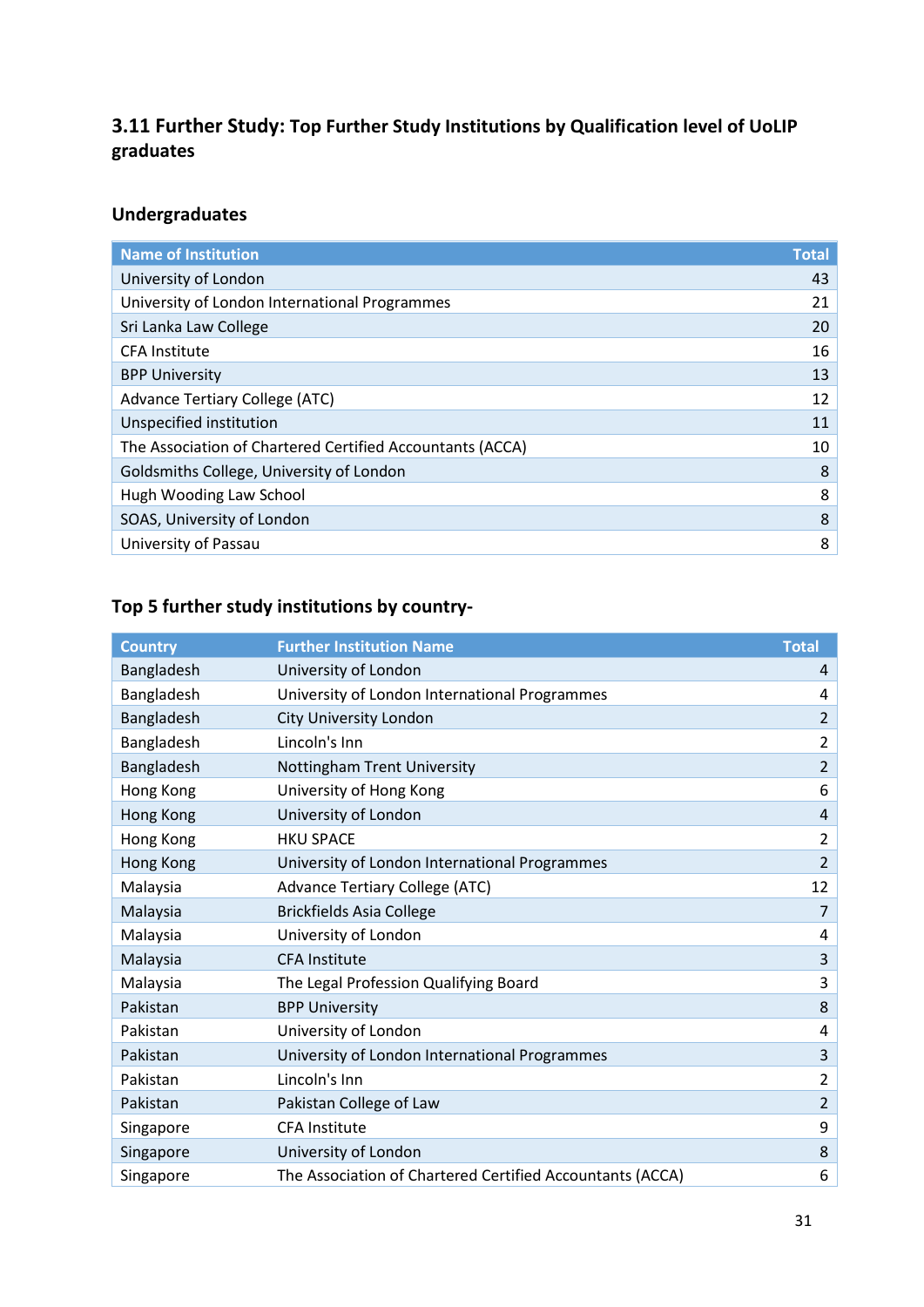## **3.11 Further Study: Top Further Study Institutions by Qualification level of UoLIP graduates**

## **Undergraduates**

| <b>Name of Institution</b>                                | <b>Total</b> |
|-----------------------------------------------------------|--------------|
| University of London                                      | 43           |
| University of London International Programmes             | 21           |
| Sri Lanka Law College                                     | 20           |
| <b>CFA</b> Institute                                      | 16           |
| <b>BPP University</b>                                     | 13           |
| <b>Advance Tertiary College (ATC)</b>                     | 12           |
| Unspecified institution                                   | 11           |
| The Association of Chartered Certified Accountants (ACCA) | 10           |
| Goldsmiths College, University of London                  | 8            |
| Hugh Wooding Law School                                   | 8            |
| SOAS, University of London                                | 8            |
| University of Passau                                      | 8            |
|                                                           |              |

# **Top 5 further study institutions by country-**

| <b>Country</b> | <b>Further Institution Name</b>                           | <b>Total</b>   |
|----------------|-----------------------------------------------------------|----------------|
| Bangladesh     | University of London                                      | 4              |
| Bangladesh     | University of London International Programmes             | 4              |
| Bangladesh     | City University London                                    | $\overline{2}$ |
| Bangladesh     | Lincoln's Inn                                             | $\overline{2}$ |
| Bangladesh     | Nottingham Trent University                               | $\overline{2}$ |
| Hong Kong      | University of Hong Kong                                   | 6              |
| Hong Kong      | University of London                                      | $\overline{4}$ |
| Hong Kong      | <b>HKU SPACE</b>                                          | $\overline{2}$ |
| Hong Kong      | University of London International Programmes             | $\overline{2}$ |
| Malaysia       | <b>Advance Tertiary College (ATC)</b>                     | 12             |
| Malaysia       | <b>Brickfields Asia College</b>                           | $\overline{7}$ |
| Malaysia       | University of London                                      | 4              |
| Malaysia       | <b>CFA Institute</b>                                      | 3              |
| Malaysia       | The Legal Profession Qualifying Board                     | 3              |
| Pakistan       | <b>BPP University</b>                                     | 8              |
| Pakistan       | University of London                                      | 4              |
| Pakistan       | University of London International Programmes             | 3              |
| Pakistan       | Lincoln's Inn                                             | $\overline{2}$ |
| Pakistan       | Pakistan College of Law                                   | $\overline{2}$ |
| Singapore      | <b>CFA Institute</b>                                      | 9              |
| Singapore      | University of London                                      | 8              |
| Singapore      | The Association of Chartered Certified Accountants (ACCA) | 6              |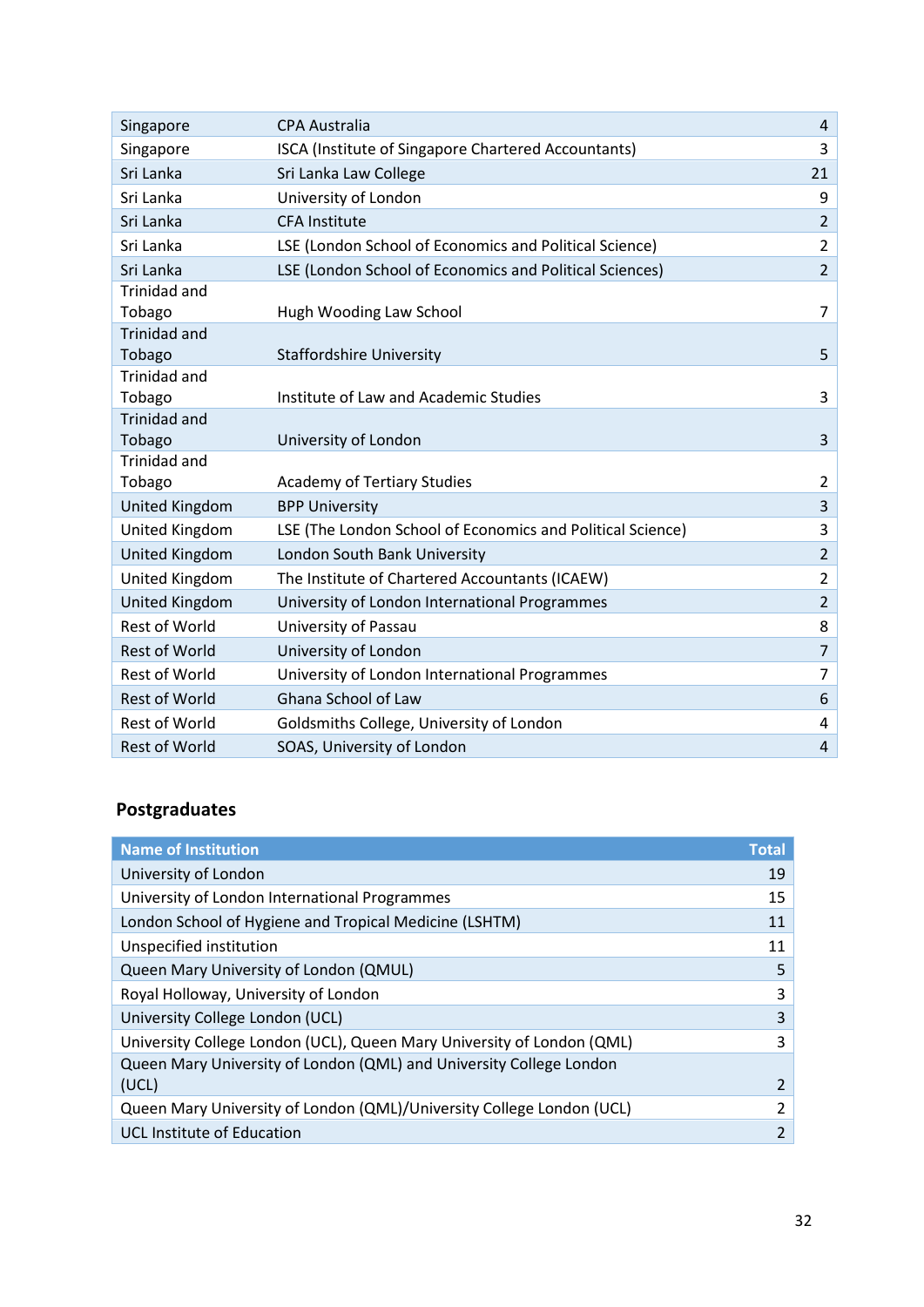| Singapore             | <b>CPA Australia</b>                                       | 4              |
|-----------------------|------------------------------------------------------------|----------------|
| Singapore             | ISCA (Institute of Singapore Chartered Accountants)        | 3              |
| Sri Lanka             | Sri Lanka Law College                                      | 21             |
| Sri Lanka             | University of London                                       | 9              |
| Sri Lanka             | <b>CFA Institute</b>                                       | $\overline{2}$ |
| Sri Lanka             | LSE (London School of Economics and Political Science)     | $\overline{2}$ |
| Sri Lanka             | LSE (London School of Economics and Political Sciences)    | $\overline{2}$ |
| <b>Trinidad and</b>   |                                                            |                |
| Tobago                | Hugh Wooding Law School                                    | $\overline{7}$ |
| <b>Trinidad and</b>   |                                                            |                |
| Tobago                | <b>Staffordshire University</b>                            | 5              |
| <b>Trinidad and</b>   |                                                            |                |
| Tobago                | Institute of Law and Academic Studies                      | 3              |
| <b>Trinidad and</b>   |                                                            |                |
| Tobago                | University of London                                       | 3              |
| <b>Trinidad and</b>   |                                                            |                |
| Tobago                | <b>Academy of Tertiary Studies</b>                         | $\overline{2}$ |
| <b>United Kingdom</b> | <b>BPP University</b>                                      | $\overline{3}$ |
| United Kingdom        | LSE (The London School of Economics and Political Science) | 3              |
| United Kingdom        | London South Bank University                               | $\overline{2}$ |
| United Kingdom        | The Institute of Chartered Accountants (ICAEW)             | $\overline{2}$ |
| <b>United Kingdom</b> | University of London International Programmes              | $\overline{2}$ |
| Rest of World         | University of Passau                                       | 8              |
| <b>Rest of World</b>  | University of London                                       | $\overline{7}$ |
| <b>Rest of World</b>  | University of London International Programmes              | $\overline{7}$ |
| <b>Rest of World</b>  | Ghana School of Law                                        | 6              |
| <b>Rest of World</b>  | Goldsmiths College, University of London                   | 4              |
| <b>Rest of World</b>  | SOAS, University of London                                 | $\overline{4}$ |

# **Postgraduates**

| <b>Name of Institution</b>                                             | <b>Total</b> |
|------------------------------------------------------------------------|--------------|
| University of London                                                   | 19           |
| University of London International Programmes                          | 15           |
| London School of Hygiene and Tropical Medicine (LSHTM)                 | 11           |
| Unspecified institution                                                | 11           |
| Queen Mary University of London (QMUL)                                 | 5            |
| Royal Holloway, University of London                                   | 3            |
| University College London (UCL)                                        | 3            |
| University College London (UCL), Queen Mary University of London (QML) | 3            |
| Queen Mary University of London (QML) and University College London    |              |
| (UCL)                                                                  | 2            |
| Queen Mary University of London (QML)/University College London (UCL)  | 2            |
| <b>UCL Institute of Education</b>                                      | 2            |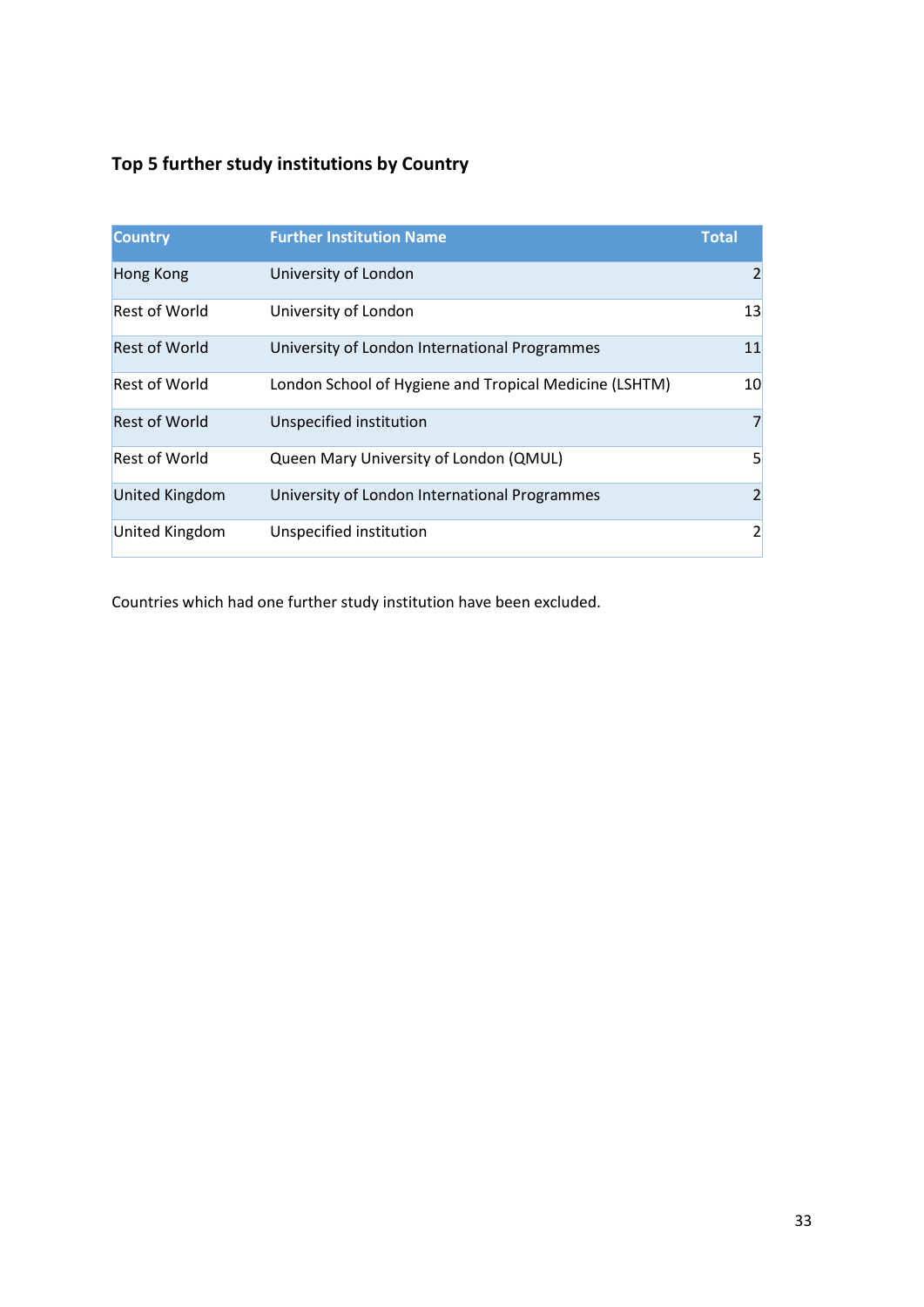# **Top 5 further study institutions by Country**

| <b>Country</b>        | <b>Further Institution Name</b>                        | <b>Total</b>   |
|-----------------------|--------------------------------------------------------|----------------|
| <b>Hong Kong</b>      | University of London                                   | $\overline{2}$ |
| <b>Rest of World</b>  | University of London                                   | 13             |
| <b>Rest of World</b>  | University of London International Programmes          | 11             |
| <b>Rest of World</b>  | London School of Hygiene and Tropical Medicine (LSHTM) | 10             |
| <b>Rest of World</b>  | Unspecified institution                                | 7              |
| <b>Rest of World</b>  | Queen Mary University of London (QMUL)                 | 5              |
| <b>United Kingdom</b> | University of London International Programmes          | $\overline{2}$ |
| United Kingdom        | Unspecified institution                                | $\overline{2}$ |

Countries which had one further study institution have been excluded.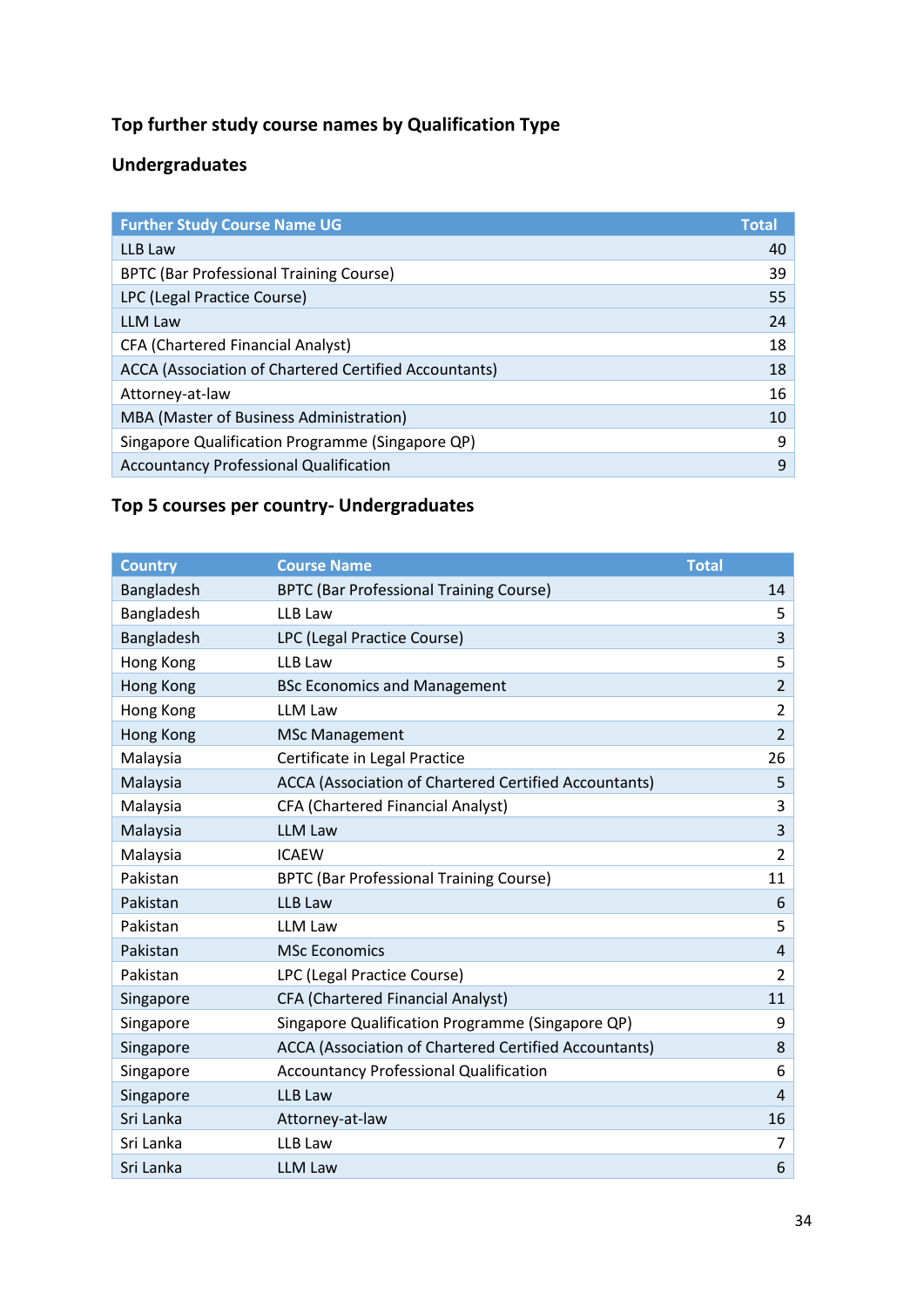# **Top further study course names by Qualification Type**

## **Undergraduates**

| <b>Further Study Course Name UG</b>                   | <b>Total</b> |
|-------------------------------------------------------|--------------|
| LLB Law                                               | 40           |
| <b>BPTC (Bar Professional Training Course)</b>        | 39           |
| LPC (Legal Practice Course)                           | 55           |
| <b>LLM Law</b>                                        | 24           |
| <b>CFA (Chartered Financial Analyst)</b>              | 18           |
| ACCA (Association of Chartered Certified Accountants) | 18           |
| Attorney-at-law                                       | 16           |
| MBA (Master of Business Administration)               | 10           |
| Singapore Qualification Programme (Singapore QP)      | 9            |
| <b>Accountancy Professional Qualification</b>         | 9            |

# **Top 5 courses per country- Undergraduates**

| <b>Country</b> | <b>Course Name</b>                                           | <b>Total</b>   |
|----------------|--------------------------------------------------------------|----------------|
| Bangladesh     | <b>BPTC (Bar Professional Training Course)</b>               | 14             |
| Bangladesh     | LLB Law                                                      | 5              |
| Bangladesh     | LPC (Legal Practice Course)                                  | $\overline{3}$ |
| Hong Kong      | LLB Law                                                      | 5              |
| Hong Kong      | <b>BSc Economics and Management</b>                          | $\overline{2}$ |
| Hong Kong      | <b>LLM Law</b>                                               | $\overline{2}$ |
| Hong Kong      | <b>MSc Management</b>                                        | $\overline{2}$ |
| Malaysia       | Certificate in Legal Practice                                | 26             |
| Malaysia       | ACCA (Association of Chartered Certified Accountants)        | 5              |
| Malaysia       | CFA (Chartered Financial Analyst)                            | 3              |
| Malaysia       | <b>LLM Law</b>                                               | 3              |
| Malaysia       | <b>ICAEW</b>                                                 | $\overline{2}$ |
| Pakistan       | <b>BPTC (Bar Professional Training Course)</b>               | 11             |
| Pakistan       | <b>LLB Law</b>                                               | 6              |
| Pakistan       | <b>LLM Law</b>                                               | 5              |
| Pakistan       | <b>MSc Economics</b>                                         | $\overline{4}$ |
| Pakistan       | LPC (Legal Practice Course)                                  | $\overline{2}$ |
| Singapore      | CFA (Chartered Financial Analyst)                            | 11             |
| Singapore      | Singapore Qualification Programme (Singapore QP)             | 9              |
| Singapore      | <b>ACCA (Association of Chartered Certified Accountants)</b> | 8              |
| Singapore      | <b>Accountancy Professional Qualification</b>                | 6              |
| Singapore      | <b>LLB Law</b>                                               | $\overline{4}$ |
| Sri Lanka      | Attorney-at-law                                              | 16             |
| Sri Lanka      | LLB Law                                                      | 7              |
| Sri Lanka      | <b>LLM Law</b>                                               | 6              |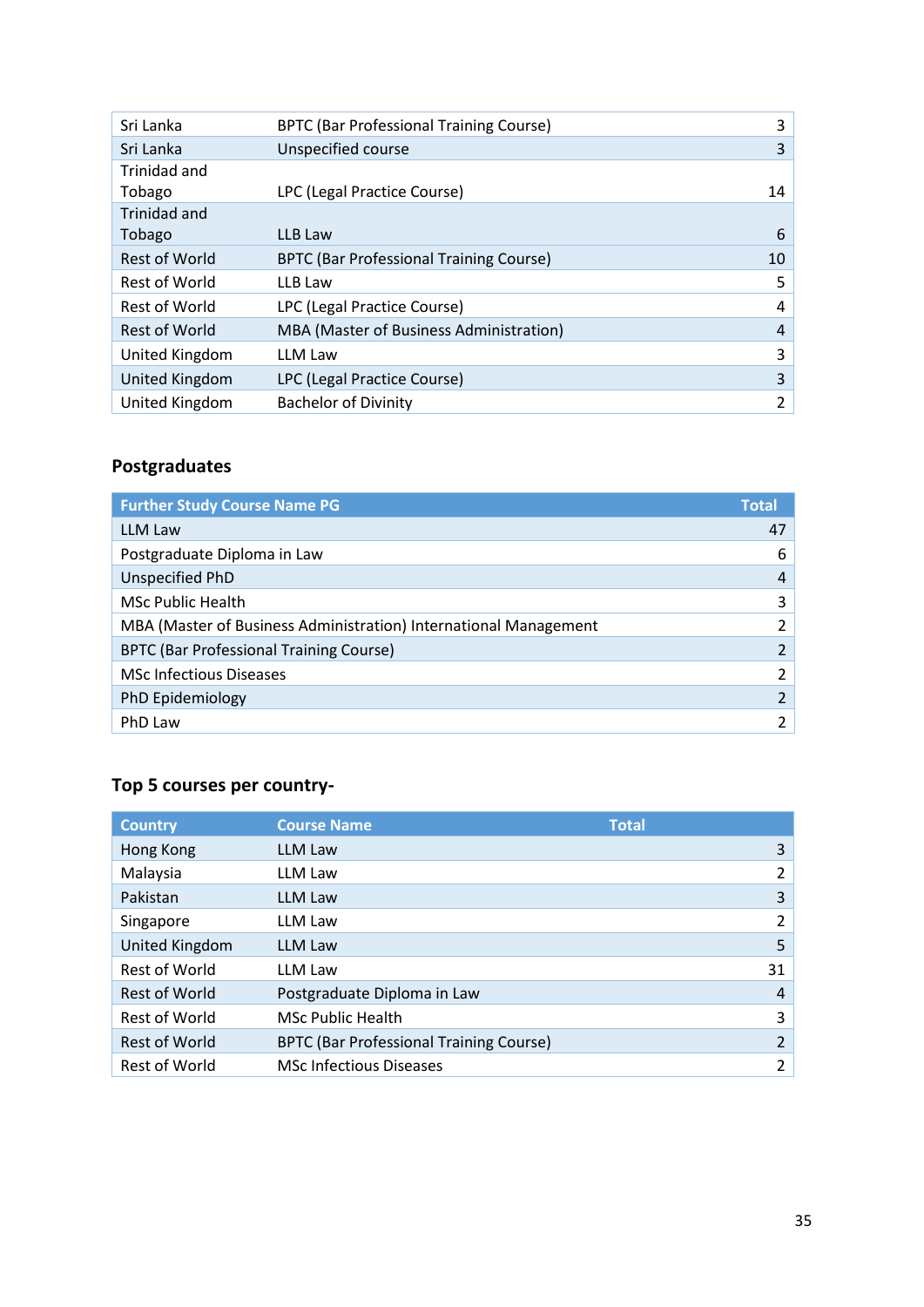| Sri Lanka            | <b>BPTC (Bar Professional Training Course)</b> | 3  |
|----------------------|------------------------------------------------|----|
| Sri Lanka            | Unspecified course                             | 3  |
| Trinidad and         |                                                |    |
| Tobago               | LPC (Legal Practice Course)                    | 14 |
| Trinidad and         |                                                |    |
| Tobago               | LLB Law                                        | 6  |
| <b>Rest of World</b> | <b>BPTC (Bar Professional Training Course)</b> | 10 |
| Rest of World        | LLB Law                                        | 5  |
| Rest of World        | LPC (Legal Practice Course)                    | 4  |
| <b>Rest of World</b> | MBA (Master of Business Administration)        | 4  |
| United Kingdom       | LLM Law                                        | 3  |
| United Kingdom       | LPC (Legal Practice Course)                    | 3  |
| United Kingdom       | <b>Bachelor of Divinity</b>                    | 2  |

# **Postgraduates**

| <b>Further Study Course Name PG</b>                              | <b>Total</b>   |
|------------------------------------------------------------------|----------------|
| <b>LLM Law</b>                                                   | 47             |
| Postgraduate Diploma in Law                                      | 6              |
| Unspecified PhD                                                  | 4              |
| <b>MSc Public Health</b>                                         | 3              |
| MBA (Master of Business Administration) International Management | $\overline{2}$ |
| <b>BPTC (Bar Professional Training Course)</b>                   | $\overline{2}$ |
| <b>MSc Infectious Diseases</b>                                   | $\overline{2}$ |
| PhD Epidemiology                                                 |                |
| PhD Law                                                          |                |

# **Top 5 courses per country-**

| <b>Country</b>        | <b>Course Name</b>                             | <b>Total</b>   |
|-----------------------|------------------------------------------------|----------------|
| Hong Kong             | LLM Law                                        | 3              |
| Malaysia              | LLM Law                                        | 2              |
| Pakistan              | <b>LLM Law</b>                                 | 3              |
| Singapore             | LLM Law                                        | 2              |
| <b>United Kingdom</b> | <b>LLM Law</b>                                 | 5              |
| <b>Rest of World</b>  | LLM Law                                        | 31             |
| <b>Rest of World</b>  | Postgraduate Diploma in Law                    | $\overline{4}$ |
| Rest of World         | <b>MSc Public Health</b>                       | 3              |
| <b>Rest of World</b>  | <b>BPTC (Bar Professional Training Course)</b> | $\overline{2}$ |
| Rest of World         | <b>MSc Infectious Diseases</b>                 | 2              |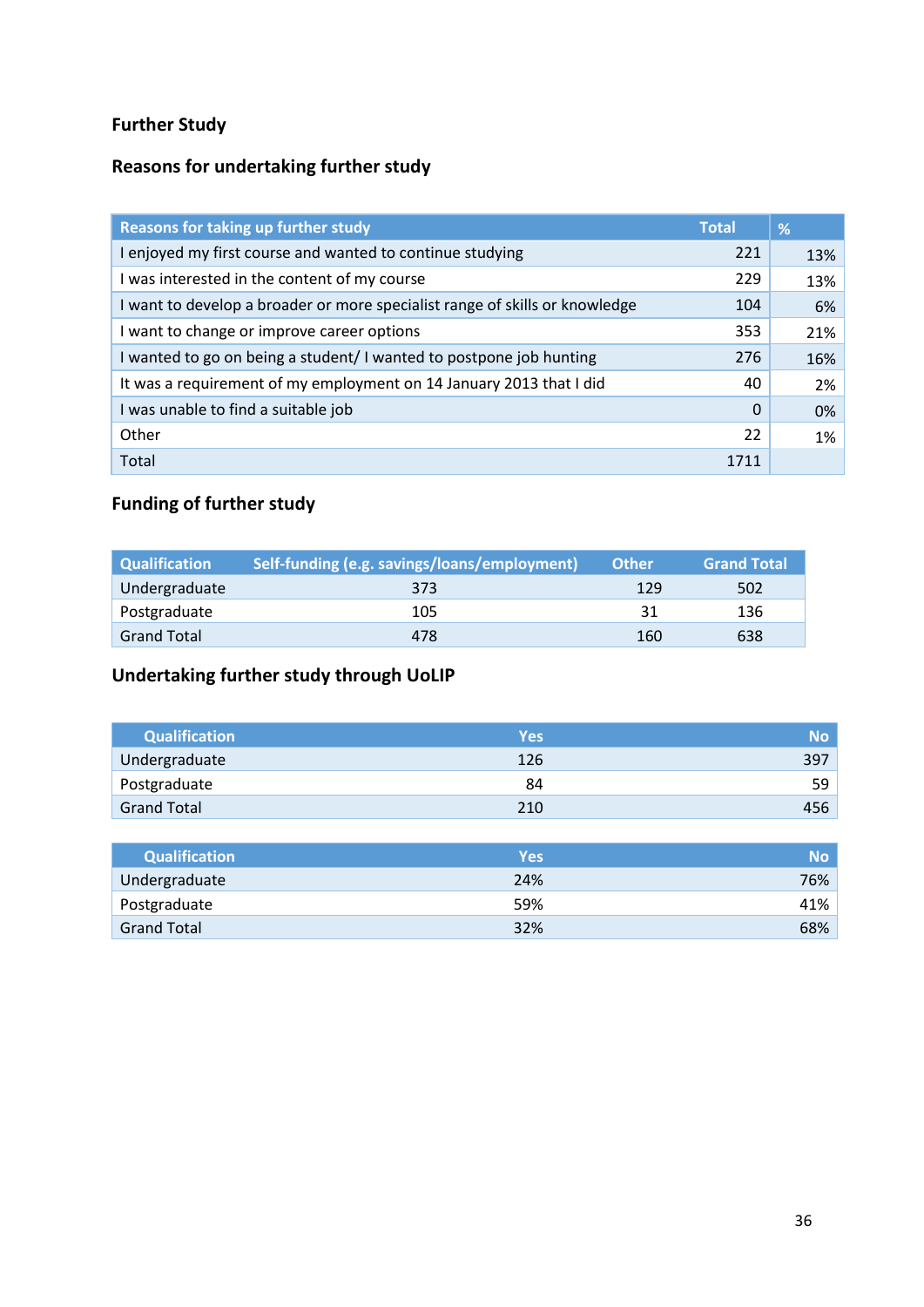# **Further Study**

# **Reasons for undertaking further study**

| Reasons for taking up further study                                         | <b>Total</b> | %     |
|-----------------------------------------------------------------------------|--------------|-------|
| I enjoyed my first course and wanted to continue studying                   | 221          | 13%   |
| I was interested in the content of my course                                | 229          | 13%   |
| I want to develop a broader or more specialist range of skills or knowledge | 104          | 6%    |
| I want to change or improve career options                                  | 353          | 21%   |
| I wanted to go on being a student/I wanted to postpone job hunting          | 276          | 16%   |
| It was a requirement of my employment on 14 January 2013 that I did         | 40           | 2%    |
| I was unable to find a suitable job                                         | $\Omega$     | $0\%$ |
| Other                                                                       | 22           | 1%    |
| Total                                                                       | 1711         |       |

# **Funding of further study**

| <b>Qualification</b> | Self-funding (e.g. savings/loans/employment) | <b>Other</b> | <b>Grand Total</b> |
|----------------------|----------------------------------------------|--------------|--------------------|
| Undergraduate        | 373                                          | 129          | 502                |
| Postgraduate         | 105                                          | 31           | 136                |
| <b>Grand Total</b>   | 478                                          | 160          | 638                |

# **Undertaking further study through UoLIP**

| <b>Qualification</b> | <b>Yes</b> | <b>No</b> |
|----------------------|------------|-----------|
| Undergraduate        | 126        | 397       |
| Postgraduate         | 84         | 59        |
| <b>Grand Total</b>   | 210        | 456       |

| <b>Qualification</b> | <b>Yes</b> | <b>No</b> |
|----------------------|------------|-----------|
| Undergraduate        | 24%        | 76%       |
| Postgraduate         | 59%        | 41%       |
| <b>Grand Total</b>   | 32%        | 68%       |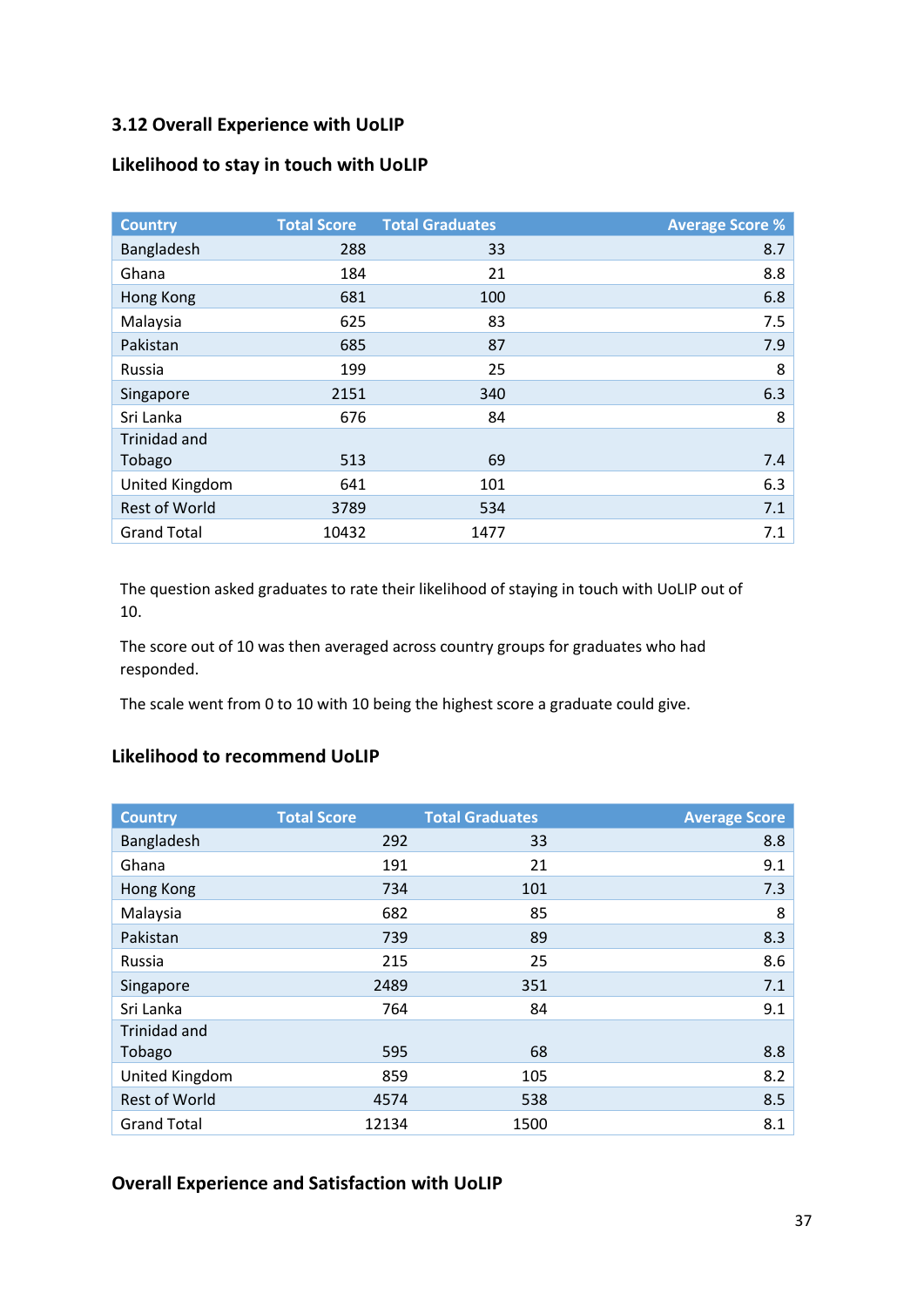### **3.12 Overall Experience with UoLIP**

#### **Likelihood to stay in touch with UoLIP**

| <b>Country</b>       | <b>Total Score</b> | <b>Total Graduates</b> | <b>Average Score %</b> |
|----------------------|--------------------|------------------------|------------------------|
| Bangladesh           | 288                | 33                     | 8.7                    |
| Ghana                | 184                | 21                     | 8.8                    |
| Hong Kong            | 681                | 100                    | 6.8                    |
| Malaysia             | 625                | 83                     | 7.5                    |
| Pakistan             | 685                | 87                     | 7.9                    |
| Russia               | 199                | 25                     | 8                      |
| Singapore            | 2151               | 340                    | 6.3                    |
| Sri Lanka            | 676                | 84                     | 8                      |
| Trinidad and         |                    |                        |                        |
| Tobago               | 513                | 69                     | 7.4                    |
| United Kingdom       | 641                | 101                    | 6.3                    |
| <b>Rest of World</b> | 3789               | 534                    | 7.1                    |
| <b>Grand Total</b>   | 10432              | 1477                   | 7.1                    |

The question asked graduates to rate their likelihood of staying in touch with UoLIP out of 10.

The score out of 10 was then averaged across country groups for graduates who had responded.

The scale went from 0 to 10 with 10 being the highest score a graduate could give.

### **Likelihood to recommend UoLIP**

| <b>Country</b>       | <b>Total Score</b> | <b>Total Graduates</b> | <b>Average Score</b> |
|----------------------|--------------------|------------------------|----------------------|
| Bangladesh           | 292                | 33                     | 8.8                  |
| Ghana                | 191                | 21                     | 9.1                  |
| Hong Kong            | 734                | 101                    | 7.3                  |
| Malaysia             | 682                | 85                     | 8                    |
| Pakistan             | 739                | 89                     | 8.3                  |
| Russia               | 215                | 25                     | 8.6                  |
| Singapore            | 2489               | 351                    | 7.1                  |
| Sri Lanka            | 764                | 84                     | 9.1                  |
| Trinidad and         |                    |                        |                      |
| Tobago               | 595                | 68                     | 8.8                  |
| United Kingdom       | 859                | 105                    | 8.2                  |
| <b>Rest of World</b> | 4574               | 538                    | 8.5                  |
| <b>Grand Total</b>   | 12134              | 1500                   | 8.1                  |

### **Overall Experience and Satisfaction with UoLIP**